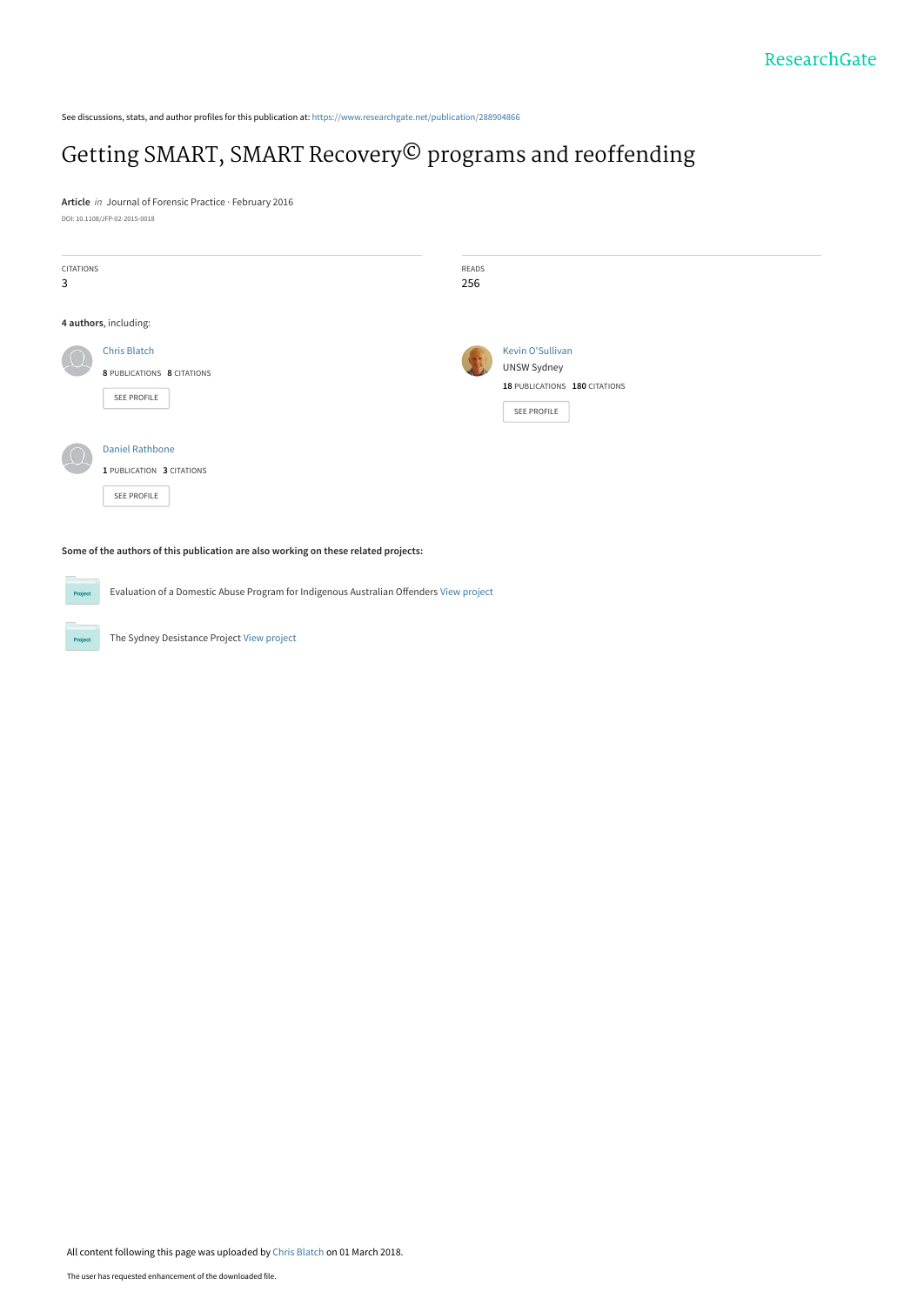See discussions, stats, and author profiles for this publication at: [https://www.researchgate.net/publication/288904866](https://www.researchgate.net/publication/288904866_Getting_SMART_SMART_RecoveryC_programs_and_reoffending?enrichId=rgreq-16da3bf769376d9f5129f8993f65f2d1-XXX&enrichSource=Y292ZXJQYWdlOzI4ODkwNDg2NjtBUzo1OTkyMDYzMDU3MzQ2NTZAMTUxOTg3MzMyNDA1Nw%3D%3D&el=1_x_2&_esc=publicationCoverPdf)

# [Getting SMART, SMART Recovery© programs and reoffending](https://www.researchgate.net/publication/288904866_Getting_SMART_SMART_RecoveryC_programs_and_reoffending?enrichId=rgreq-16da3bf769376d9f5129f8993f65f2d1-XXX&enrichSource=Y292ZXJQYWdlOzI4ODkwNDg2NjtBUzo1OTkyMDYzMDU3MzQ2NTZAMTUxOTg3MzMyNDA1Nw%3D%3D&el=1_x_3&_esc=publicationCoverPdf)

**Article** in Journal of Forensic Practice · February 2016 DOI: 10.1108/JFP-02-2015-0018

| <b>CITATIONS</b><br>3 |                                                                    | READS<br>256 |                                                                                        |
|-----------------------|--------------------------------------------------------------------|--------------|----------------------------------------------------------------------------------------|
|                       | 4 authors, including:                                              |              |                                                                                        |
|                       | <b>Chris Blatch</b><br>8 PUBLICATIONS 8 CITATIONS<br>SEE PROFILE   |              | <b>Kevin O'Sullivan</b><br>UNSW Sydney<br>18 PUBLICATIONS 180 CITATIONS<br>SEE PROFILE |
|                       | <b>Daniel Rathbone</b><br>1 PUBLICATION 3 CITATIONS<br>SEE PROFILE |              |                                                                                        |

**Some of the authors of this publication are also working on these related projects:**

Evaluation of a Domestic Abuse Program for Indigenous Australian Offenders [View project](https://www.researchgate.net/project/Evaluation-of-a-Domestic-Abuse-Program-for-Indigenous-Australian-Offenders?enrichId=rgreq-16da3bf769376d9f5129f8993f65f2d1-XXX&enrichSource=Y292ZXJQYWdlOzI4ODkwNDg2NjtBUzo1OTkyMDYzMDU3MzQ2NTZAMTUxOTg3MzMyNDA1Nw%3D%3D&el=1_x_9&_esc=publicationCoverPdf) **Project** 

The Sydney Desistance Project [View project](https://www.researchgate.net/project/The-Sydney-Desistance-Project?enrichId=rgreq-16da3bf769376d9f5129f8993f65f2d1-XXX&enrichSource=Y292ZXJQYWdlOzI4ODkwNDg2NjtBUzo1OTkyMDYzMDU3MzQ2NTZAMTUxOTg3MzMyNDA1Nw%3D%3D&el=1_x_9&_esc=publicationCoverPdf)

**Project**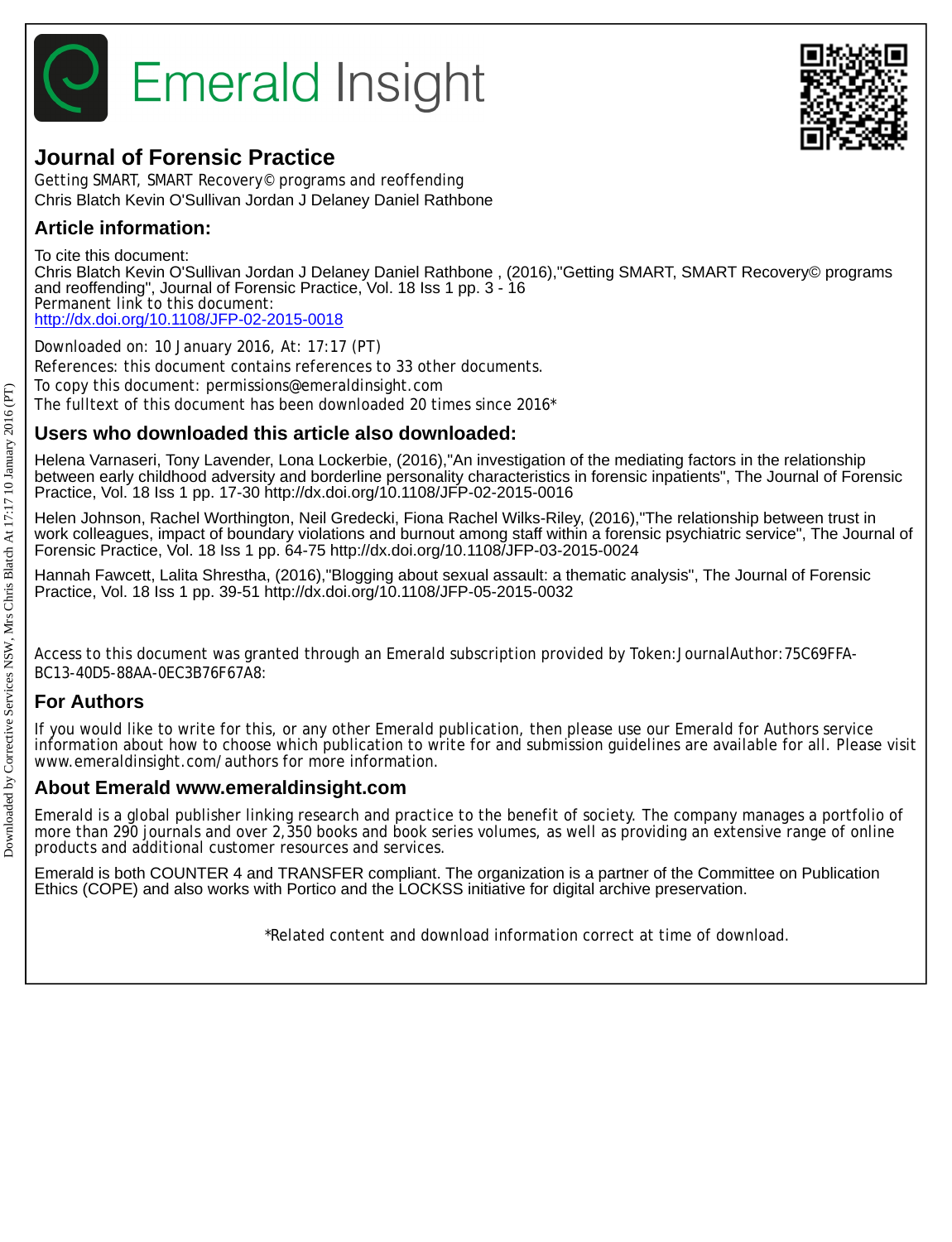

# **Journal of Forensic Practice**

Getting SMART, SMART Recovery© programs and reoffending Chris Blatch Kevin O'Sullivan Jordan J Delaney Daniel Rathbone

# **Article information:**

To cite this document: Chris Blatch Kevin O'Sullivan Jordan J Delaney Daniel Rathbone , (2016),"Getting SMART, SMART Recovery© programs and reoffending", Journal of Forensic Practice, Vol. 18 Iss 1 pp. 3 - 16 Permanent link to this document: <http://dx.doi.org/10.1108/JFP-02-2015-0018>

Downloaded on: 10 January 2016, At: 17:17 (PT) References: this document contains references to 33 other documents. To copy this document: permissions@emeraldinsight.com The fulltext of this document has been downloaded 20 times since 2016\*

# **Users who downloaded this article also downloaded:**

Helena Varnaseri, Tony Lavender, Lona Lockerbie, (2016),"An investigation of the mediating factors in the relationship between early childhood adversity and borderline personality characteristics in forensic inpatients", The Journal of Forensic Practice, Vol. 18 Iss 1 pp. 17-30 http://dx.doi.org/10.1108/JFP-02-2015-0016

Helen Johnson, Rachel Worthington, Neil Gredecki, Fiona Rachel Wilks-Riley, (2016),"The relationship between trust in work colleagues, impact of boundary violations and burnout among staff within a forensic psychiatric service", The Journal of Forensic Practice, Vol. 18 Iss 1 pp. 64-75 http://dx.doi.org/10.1108/JFP-03-2015-0024

Hannah Fawcett, Lalita Shrestha, (2016),"Blogging about sexual assault: a thematic analysis", The Journal of Forensic Practice, Vol. 18 Iss 1 pp. 39-51 http://dx.doi.org/10.1108/JFP-05-2015-0032

Access to this document was granted through an Emerald subscription provided by Token:JournalAuthor:75C69FFA-BC13-40D5-88AA-0EC3B76F67A8:

# **For Authors**

If you would like to write for this, or any other Emerald publication, then please use our Emerald for Authors service information about how to choose which publication to write for and submission guidelines are available for all. Please visit www.emeraldinsight.com/authors for more information.

# **About Emerald www.emeraldinsight.com**

Emerald is a global publisher linking research and practice to the benefit of society. The company manages a portfolio of more than 290 journals and over 2,350 books and book series volumes, as well as providing an extensive range of online products and additional customer resources and services.

Emerald is both COUNTER 4 and TRANSFER compliant. The organization is a partner of the Committee on Publication Ethics (COPE) and also works with Portico and the LOCKSS initiative for digital archive preservation.

\*Related content and download information correct at time of download.

Downloaded by Corrective Services NSW, Mrs Chris Blatch At 17:17 10 January 2016 (PT)

Downloaded by Corrective Services NSW. Mrs Chris Blatch At  $17:17:10$  January 2016 (PT)

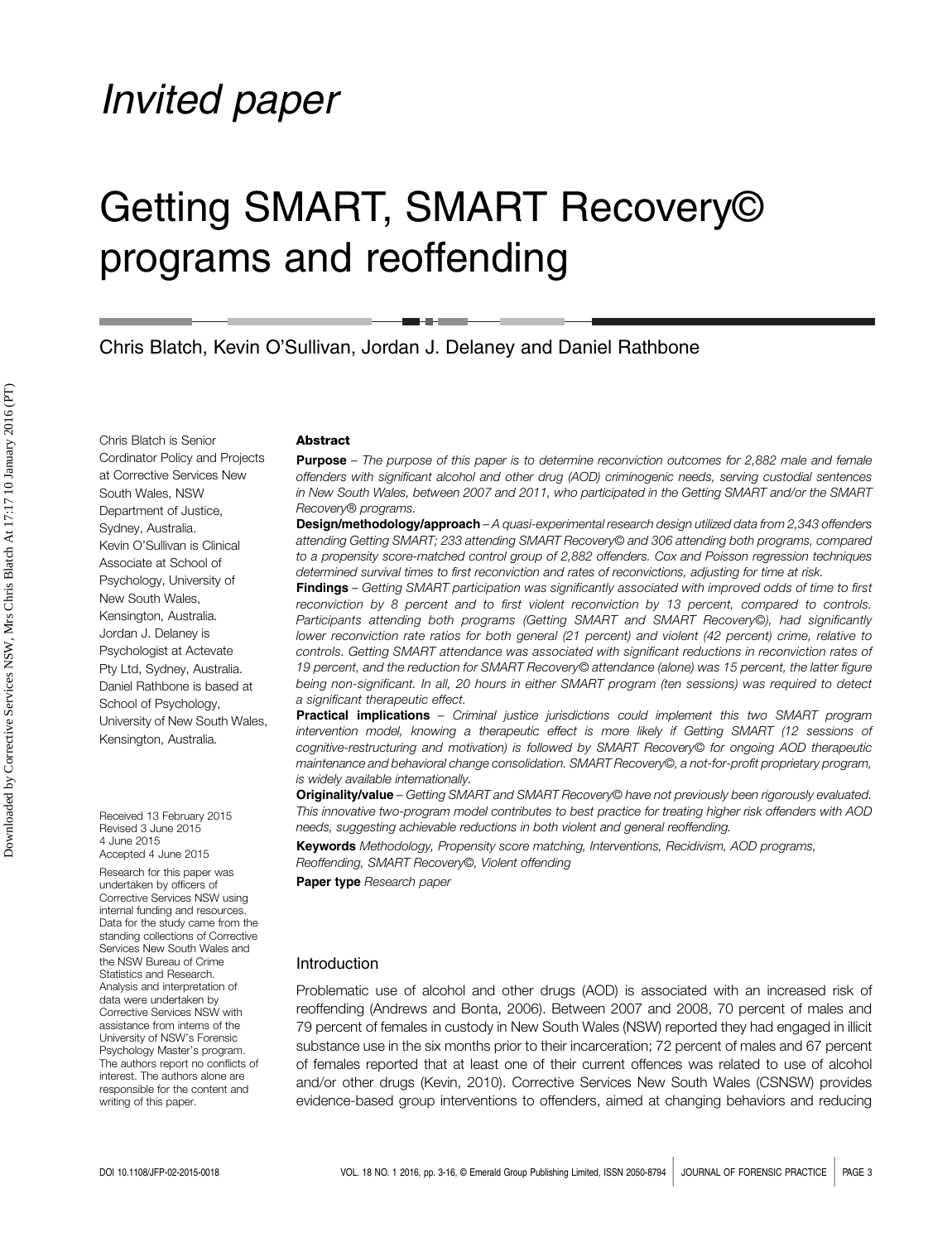# Invited paper

# Getting SMART, SMART Recovery© programs and reoffending

Chris Blatch, Kevin O'Sullivan, Jordan J. Delaney and Daniel Rathbone

Chris Blatch is Senior Cordinator Policy and Projects at Corrective Services New South Wales, NSW Department of Justice, Sydney, Australia. Kevin O'Sullivan is Clinical Associate at School of Psychology, University of New South Wales, Kensington, Australia. Jordan J. Delaney is Psychologist at Actevate Pty Ltd, Sydney, Australia. Daniel Rathbone is based at School of Psychology, University of New South Wales, Kensington, Australia.

Received 13 February 2015 Revised 3 June 2015 4 June 2015 Accepted 4 June 2015

Research for this paper was undertaken by officers of Corrective Services NSW using internal funding and resources. Data for the study came from the standing collections of Corrective Services New South Wales and the NSW Bureau of Crime Statistics and Research. Analysis and interpretation of data were undertaken by Corrective Services NSW with assistance from interns of the University of NSW's Forensic Psychology Master's program. The authors report no conflicts of interest. The authors alone are responsible for the content and writing of this paper.

#### **Abstract**

**Purpose** – The purpose of this paper is to determine reconviction outcomes for 2,882 male and female offenders with significant alcohol and other drug (AOD) criminogenic needs, serving custodial sentences in New South Wales, between 2007 and 2011, who participated in the Getting SMART and/or the SMART Recovery® programs.

**Design/methodology/approach** – A quasi-experimental research design utilized data from 2,343 offenders attending Getting SMART; 233 attending SMART Recovery© and 306 attending both programs, compared to a propensity score-matched control group of 2,882 offenders. Cox and Poisson regression techniques determined survival times to first reconviction and rates of reconvictions, adjusting for time at risk.

Findings – Getting SMART participation was significantly associated with improved odds of time to first reconviction by 8 percent and to first violent reconviction by 13 percent, compared to controls. Participants attending both programs (Getting SMART and SMART Recovery©), had significantly lower reconviction rate ratios for both general (21 percent) and violent (42 percent) crime, relative to controls. Getting SMART attendance was associated with significant reductions in reconviction rates of 19 percent, and the reduction for SMART Recovery© attendance (alone) was 15 percent, the latter figure being non-significant. In all, 20 hours in either SMART program (ten sessions) was required to detect a significant therapeutic effect.

**Practical implications** – Criminal justice jurisdictions could implement this two SMART program intervention model, knowing a therapeutic effect is more likely if Getting SMART (12 sessions of cognitive-restructuring and motivation) is followed by SMART Recovery© for ongoing AOD therapeutic maintenance and behavioral change consolidation. SMART Recovery©, a not-for-profit proprietary program, is widely available internationally.

Originality/value – Getting SMART and SMART Recovery© have not previously been rigorously evaluated. This innovative two-program model contributes to best practice for treating higher risk offenders with AOD needs, suggesting achievable reductions in both violent and general reoffending.

Keywords Methodology, Propensity score matching, Interventions, Recidivism, AOD programs, Reoffending, SMART Recovery©, Violent offending

Paper type Research paper

#### Introduction

Problematic use of alcohol and other drugs (AOD) is associated with an increased risk of reoffending (Andrews and Bonta, 2006). Between 2007 and 2008, 70 percent of males and 79 percent of females in custody in New South Wales (NSW) reported they had engaged in illicit substance use in the six months prior to their incarceration; 72 percent of males and 67 percent of females reported that at least one of their current offences was related to use of alcohol and/or other drugs (Kevin, 2010). Corrective Services New South Wales (CSNSW) provides evidence-based group interventions to offenders, aimed at changing behaviors and reducing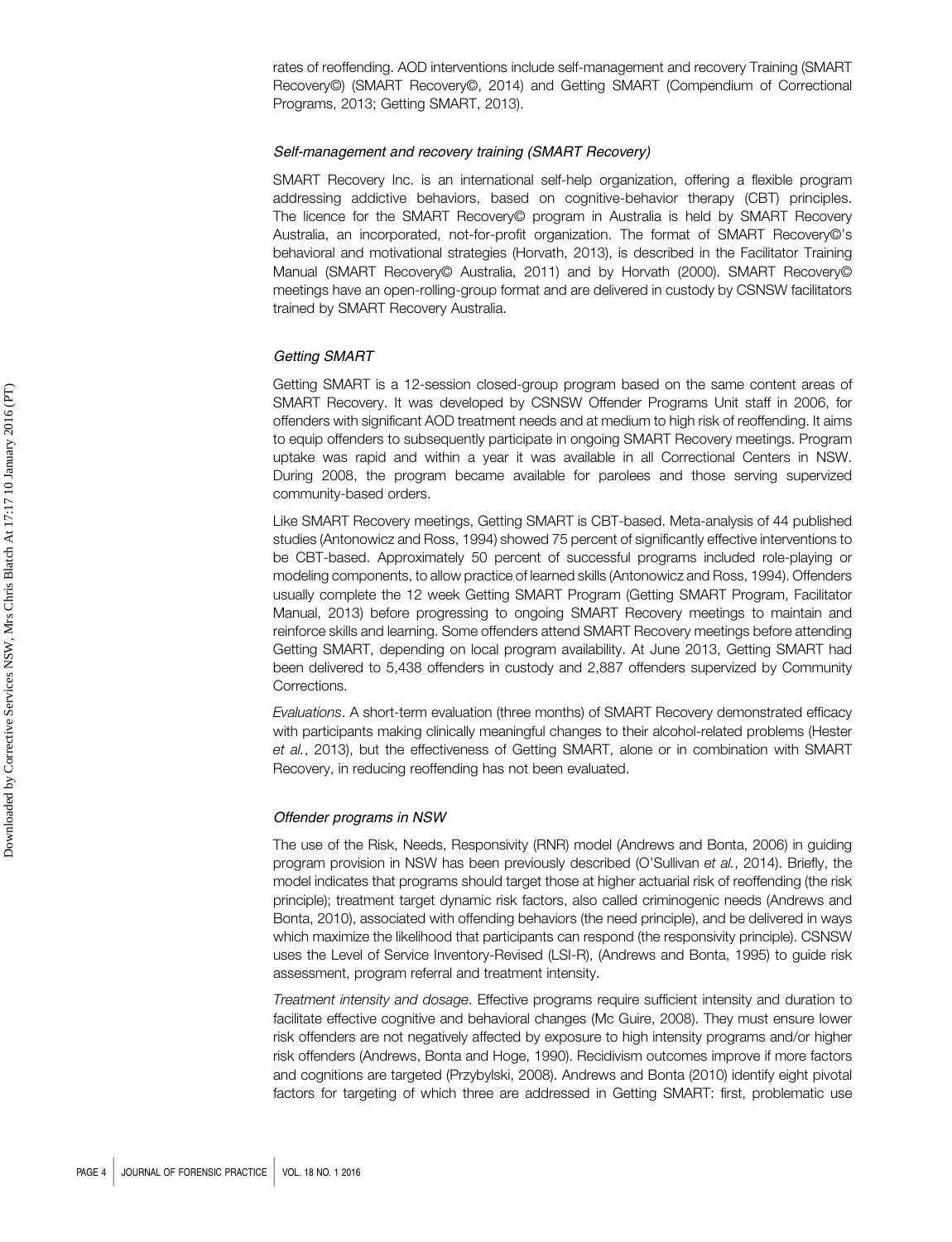rates of reoffending. AOD interventions include self-management and recovery Training (SMART Recovery©) (SMART Recovery©, 2014) and Getting SMART (Compendium of Correctional Programs, 2013; Getting SMART, 2013).

## Self-management and recovery training (SMART Recovery)

SMART Recovery Inc. is an international self-help organization, offering a flexible program addressing addictive behaviors, based on cognitive-behavior therapy (CBT) principles. The licence for the SMART Recovery© program in Australia is held by SMART Recovery Australia, an incorporated, not-for-profit organization. The format of SMART Recovery©'s behavioral and motivational strategies (Horvath, 2013), is described in the Facilitator Training Manual (SMART Recovery© Australia, 2011) and by Horvath (2000). SMART Recovery© meetings have an open-rolling-group format and are delivered in custody by CSNSW facilitators trained by SMART Recovery Australia.

#### Getting SMART

Getting SMART is a 12-session closed-group program based on the same content areas of SMART Recovery. It was developed by CSNSW Offender Programs Unit staff in 2006, for offenders with significant AOD treatment needs and at medium to high risk of reoffending. It aims to equip offenders to subsequently participate in ongoing SMART Recovery meetings. Program uptake was rapid and within a year it was available in all Correctional Centers in NSW. During 2008, the program became available for parolees and those serving supervized community-based orders.

Like SMART Recovery meetings, Getting SMART is CBT-based. Meta-analysis of 44 published studies (Antonowicz and Ross, 1994) showed 75 percent of significantly effective interventions to be CBT-based. Approximately 50 percent of successful programs included role-playing or modeling components, to allow practice of learned skills (Antonowicz and Ross, 1994). Offenders usually complete the 12 week Getting SMART Program (Getting SMART Program, Facilitator Manual, 2013) before progressing to ongoing SMART Recovery meetings to maintain and reinforce skills and learning. Some offenders attend SMART Recovery meetings before attending Getting SMART, depending on local program availability. At June 2013, Getting SMART had been delivered to 5,438 offenders in custody and 2,887 offenders supervized by Community Corrections.

Evaluations. A short-term evaluation (three months) of SMART Recovery demonstrated efficacy with participants making clinically meaningful changes to their alcohol-related problems (Hester et al., 2013), but the effectiveness of Getting SMART, alone or in combination with SMART Recovery, in reducing reoffending has not been evaluated.

#### Offender programs in NSW

The use of the Risk, Needs, Responsivity (RNR) model (Andrews and Bonta, 2006) in guiding program provision in NSW has been previously described (O'Sullivan et al., 2014). Briefly, the model indicates that programs should target those at higher actuarial risk of reoffending (the risk principle); treatment target dynamic risk factors, also called criminogenic needs (Andrews and Bonta, 2010), associated with offending behaviors (the need principle), and be delivered in ways which maximize the likelihood that participants can respond (the responsivity principle). CSNSW uses the Level of Service Inventory-Revised (LSI-R), (Andrews and Bonta, 1995) to guide risk assessment, program referral and treatment intensity.

Treatment intensity and dosage. Effective programs require sufficient intensity and duration to facilitate effective cognitive and behavioral changes (Mc Guire, 2008). They must ensure lower risk offenders are not negatively affected by exposure to high intensity programs and/or higher risk offenders (Andrews, Bonta and Hoge, 1990). Recidivism outcomes improve if more factors and cognitions are targeted (Przybylski, 2008). Andrews and Bonta (2010) identify eight pivotal factors for targeting of which three are addressed in Getting SMART: first, problematic use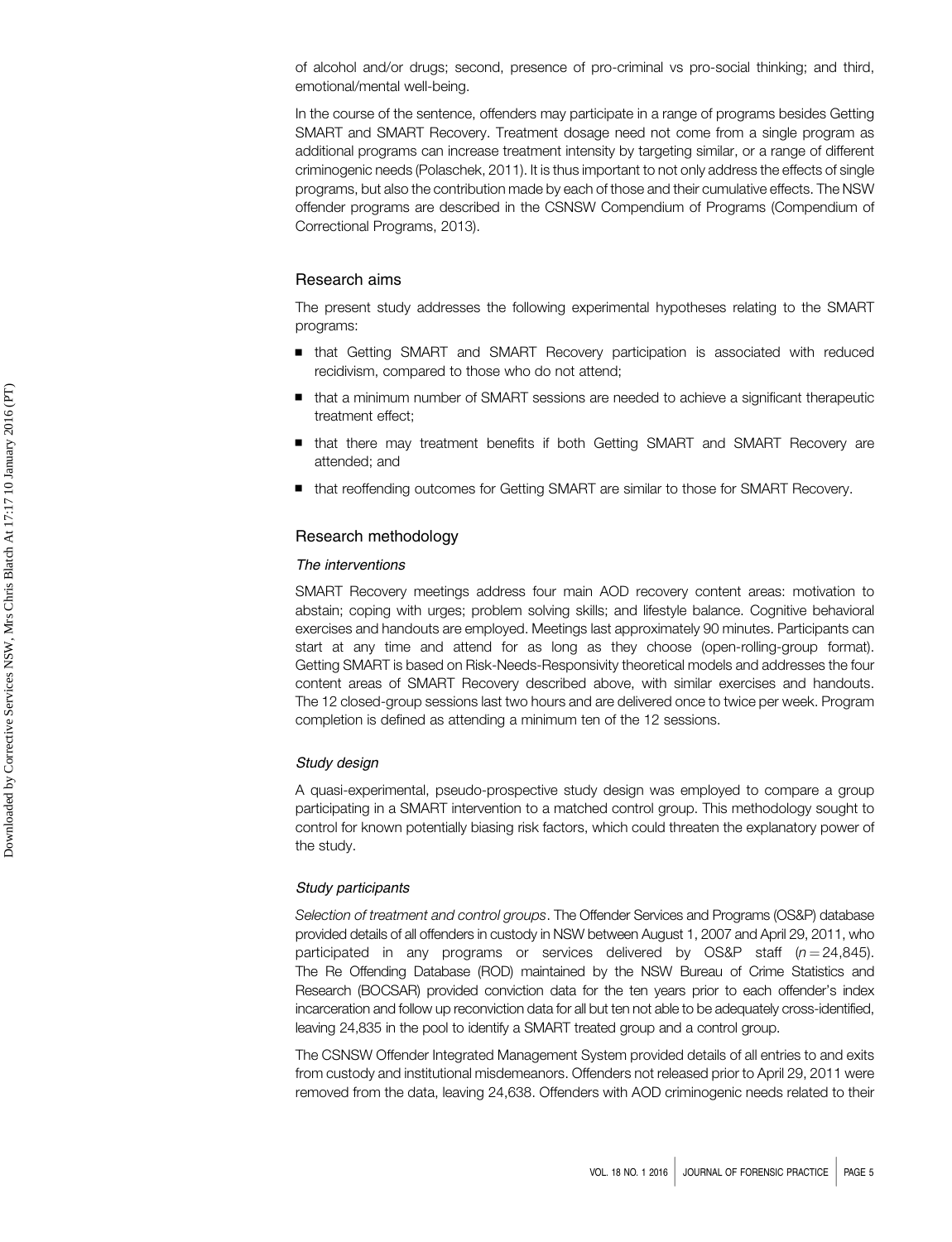of alcohol and/or drugs; second, presence of pro-criminal vs pro-social thinking; and third, emotional/mental well-being.

In the course of the sentence, offenders may participate in a range of programs besides Getting SMART and SMART Recovery. Treatment dosage need not come from a single program as additional programs can increase treatment intensity by targeting similar, or a range of different criminogenic needs (Polaschek, 2011). It is thus important to not only address the effects of single programs, but also the contribution made by each of those and their cumulative effects. The NSW offender programs are described in the CSNSW Compendium of Programs (Compendium of Correctional Programs, 2013).

# Research aims

The present study addresses the following experimental hypotheses relating to the SMART programs:

- that Getting SMART and SMART Recovery participation is associated with reduced recidivism, compared to those who do not attend;
- that a minimum number of SMART sessions are needed to achieve a significant therapeutic treatment effect;
- that there may treatment benefits if both Getting SMART and SMART Recovery are attended; and
- that reoffending outcomes for Getting SMART are similar to those for SMART Recovery.

## Research methodology

## The interventions

SMART Recovery meetings address four main AOD recovery content areas: motivation to abstain; coping with urges; problem solving skills; and lifestyle balance. Cognitive behavioral exercises and handouts are employed. Meetings last approximately 90 minutes. Participants can start at any time and attend for as long as they choose (open-rolling-group format). Getting SMART is based on Risk-Needs-Responsivity theoretical models and addresses the four content areas of SMART Recovery described above, with similar exercises and handouts. The 12 closed-group sessions last two hours and are delivered once to twice per week. Program completion is defined as attending a minimum ten of the 12 sessions.

#### Study design

A quasi-experimental, pseudo-prospective study design was employed to compare a group participating in a SMART intervention to a matched control group. This methodology sought to control for known potentially biasing risk factors, which could threaten the explanatory power of the study.

#### Study participants

Selection of treatment and control groups. The Offender Services and Programs (OS&P) database provided details of all offenders in custody in NSW between August 1, 2007 and April 29, 2011, who participated in any programs or services delivered by OS&P staff  $(n = 24,845)$ . The Re Offending Database (ROD) maintained by the NSW Bureau of Crime Statistics and Research (BOCSAR) provided conviction data for the ten years prior to each offender's index incarceration and follow up reconviction data for all but ten not able to be adequately cross-identified, leaving 24,835 in the pool to identify a SMART treated group and a control group.

The CSNSW Offender Integrated Management System provided details of all entries to and exits from custody and institutional misdemeanors. Offenders not released prior to April 29, 2011 were removed from the data, leaving 24,638. Offenders with AOD criminogenic needs related to their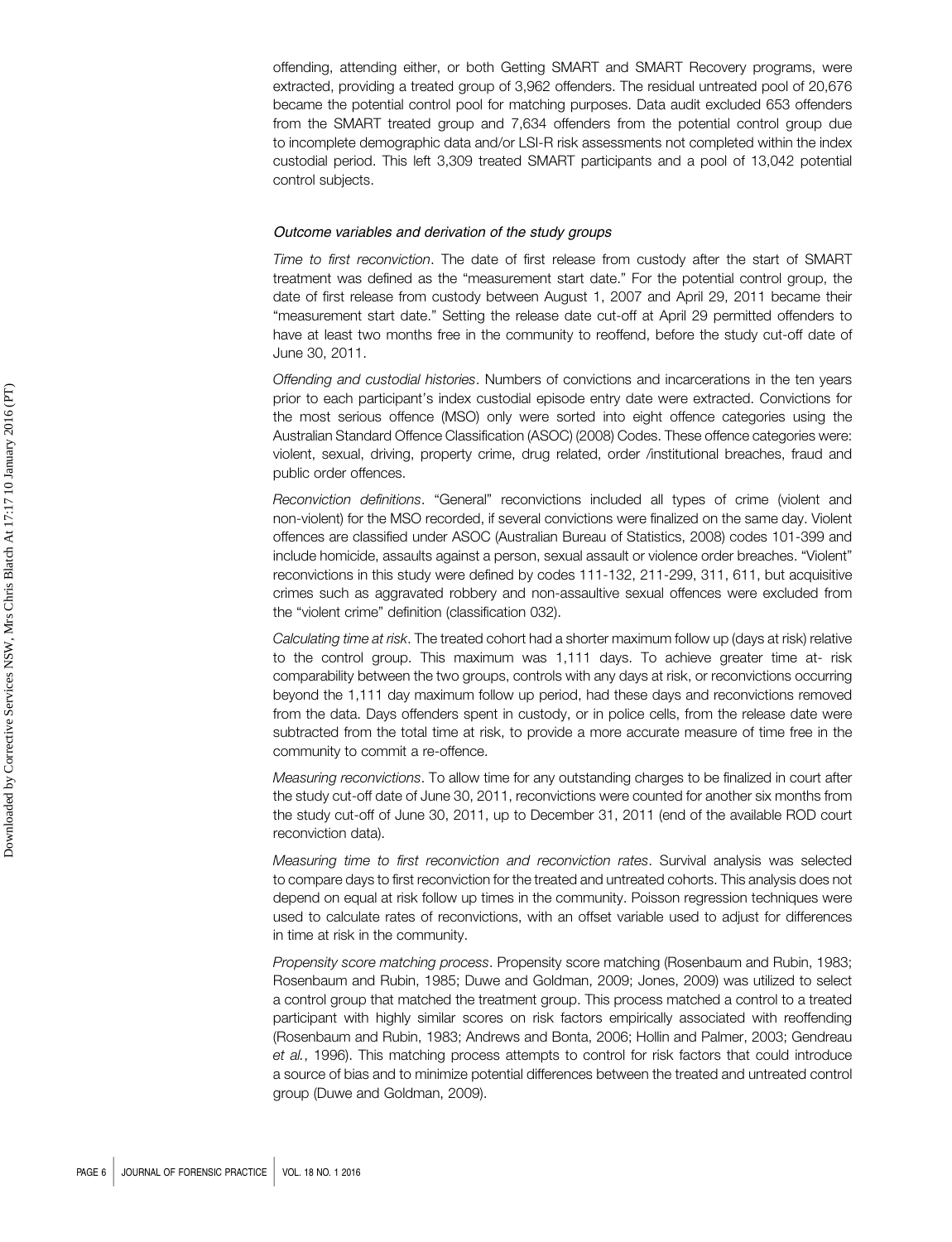offending, attending either, or both Getting SMART and SMART Recovery programs, were extracted, providing a treated group of 3,962 offenders. The residual untreated pool of 20,676 became the potential control pool for matching purposes. Data audit excluded 653 offenders from the SMART treated group and 7,634 offenders from the potential control group due to incomplete demographic data and/or LSI-R risk assessments not completed within the index custodial period. This left 3,309 treated SMART participants and a pool of 13,042 potential control subjects.

#### Outcome variables and derivation of the study groups

Time to first reconviction. The date of first release from custody after the start of SMART treatment was defined as the "measurement start date." For the potential control group, the date of first release from custody between August 1, 2007 and April 29, 2011 became their "measurement start date." Setting the release date cut-off at April 29 permitted offenders to have at least two months free in the community to reoffend, before the study cut-off date of June 30, 2011.

Offending and custodial histories. Numbers of convictions and incarcerations in the ten years prior to each participant's index custodial episode entry date were extracted. Convictions for the most serious offence (MSO) only were sorted into eight offence categories using the Australian Standard Offence Classification (ASOC) (2008) Codes. These offence categories were: violent, sexual, driving, property crime, drug related, order /institutional breaches, fraud and public order offences.

Reconviction definitions. "General" reconvictions included all types of crime (violent and non-violent) for the MSO recorded, if several convictions were finalized on the same day. Violent offences are classified under ASOC (Australian Bureau of Statistics, 2008) codes 101-399 and include homicide, assaults against a person, sexual assault or violence order breaches. "Violent" reconvictions in this study were defined by codes 111-132, 211-299, 311, 611, but acquisitive crimes such as aggravated robbery and non-assaultive sexual offences were excluded from the "violent crime" definition (classification 032).

Calculating time at risk. The treated cohort had a shorter maximum follow up (days at risk) relative to the control group. This maximum was 1,111 days. To achieve greater time at- risk comparability between the two groups, controls with any days at risk, or reconvictions occurring beyond the 1,111 day maximum follow up period, had these days and reconvictions removed from the data. Days offenders spent in custody, or in police cells, from the release date were subtracted from the total time at risk, to provide a more accurate measure of time free in the community to commit a re-offence.

Measuring reconvictions. To allow time for any outstanding charges to be finalized in court after the study cut-off date of June 30, 2011, reconvictions were counted for another six months from the study cut-off of June 30, 2011, up to December 31, 2011 (end of the available ROD court reconviction data).

Measuring time to first reconviction and reconviction rates. Survival analysis was selected to compare days to first reconviction for the treated and untreated cohorts. This analysis does not depend on equal at risk follow up times in the community. Poisson regression techniques were used to calculate rates of reconvictions, with an offset variable used to adjust for differences in time at risk in the community.

Propensity score matching process. Propensity score matching (Rosenbaum and Rubin, 1983; Rosenbaum and Rubin, 1985; Duwe and Goldman, 2009; Jones, 2009) was utilized to select a control group that matched the treatment group. This process matched a control to a treated participant with highly similar scores on risk factors empirically associated with reoffending (Rosenbaum and Rubin, 1983; Andrews and Bonta, 2006; Hollin and Palmer, 2003; Gendreau et al., 1996). This matching process attempts to control for risk factors that could introduce a source of bias and to minimize potential differences between the treated and untreated control group (Duwe and Goldman, 2009).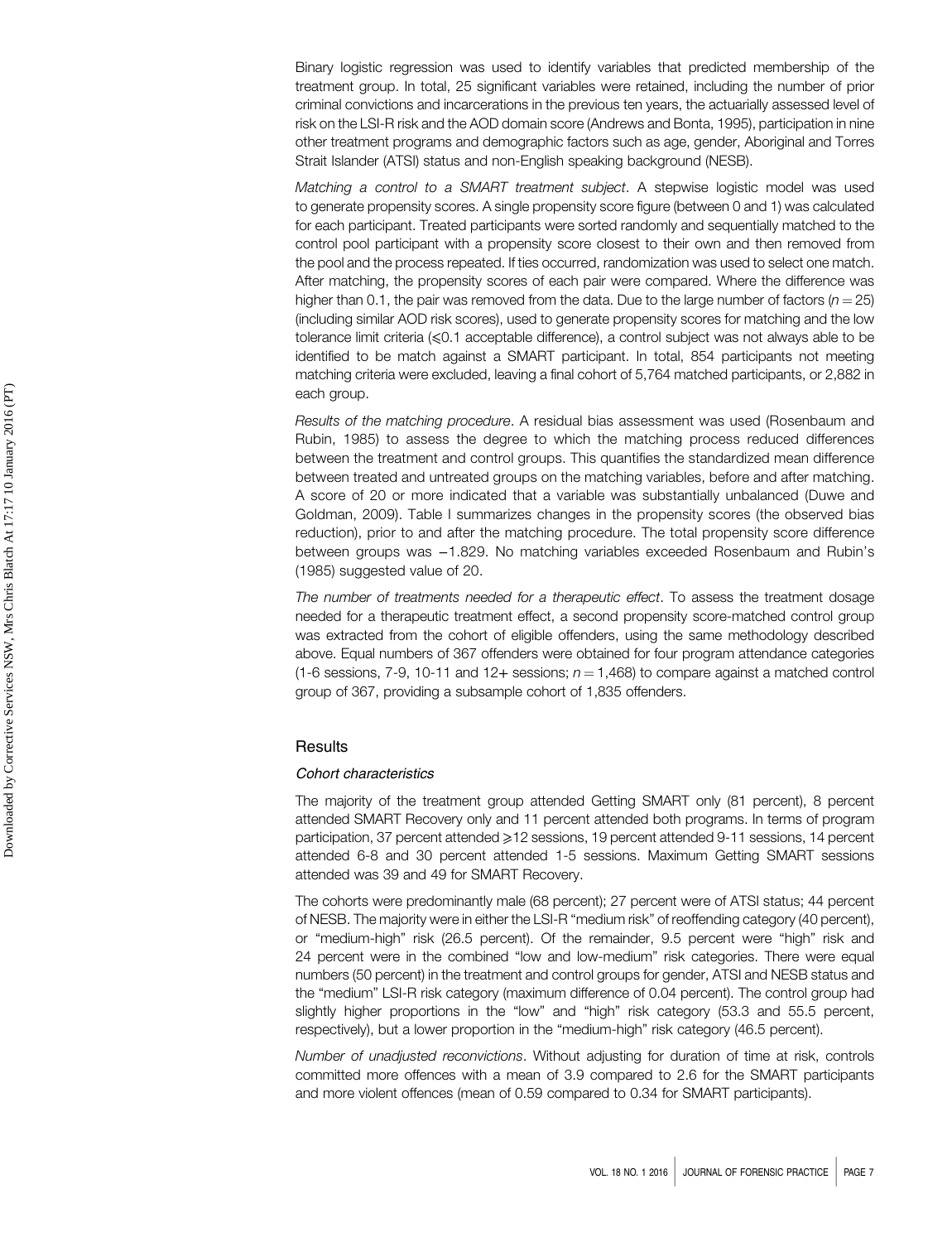Binary logistic regression was used to identify variables that predicted membership of the treatment group. In total, 25 significant variables were retained, including the number of prior criminal convictions and incarcerations in the previous ten years, the actuarially assessed level of risk on the LSI-R risk and the AOD domain score (Andrews and Bonta, 1995), participation in nine other treatment programs and demographic factors such as age, gender, Aboriginal and Torres Strait Islander (ATSI) status and non-English speaking background (NESB).

Matching a control to a SMART treatment subject. A stepwise logistic model was used to generate propensity scores. A single propensity score figure (between 0 and 1) was calculated for each participant. Treated participants were sorted randomly and sequentially matched to the control pool participant with a propensity score closest to their own and then removed from the pool and the process repeated. If ties occurred, randomization was used to select one match. After matching, the propensity scores of each pair were compared. Where the difference was higher than 0.1, the pair was removed from the data. Due to the large number of factors ( $n = 25$ ) (including similar AOD risk scores), used to generate propensity scores for matching and the low tolerance limit criteria (⩽0.1 acceptable difference), a control subject was not always able to be identified to be match against a SMART participant. In total, 854 participants not meeting matching criteria were excluded, leaving a final cohort of 5,764 matched participants, or 2,882 in each group.

Results of the matching procedure. A residual bias assessment was used (Rosenbaum and Rubin, 1985) to assess the degree to which the matching process reduced differences between the treatment and control groups. This quantifies the standardized mean difference between treated and untreated groups on the matching variables, before and after matching. A score of 20 or more indicated that a variable was substantially unbalanced (Duwe and Goldman, 2009). Table I summarizes changes in the propensity scores (the observed bias reduction), prior to and after the matching procedure. The total propensity score difference between groups was −1.829. No matching variables exceeded Rosenbaum and Rubin's (1985) suggested value of 20.

The number of treatments needed for a therapeutic effect. To assess the treatment dosage needed for a therapeutic treatment effect, a second propensity score-matched control group was extracted from the cohort of eligible offenders, using the same methodology described above. Equal numbers of 367 offenders were obtained for four program attendance categories (1-6 sessions, 7-9, 10-11 and 12+ sessions;  $n = 1,468$ ) to compare against a matched control group of 367, providing a subsample cohort of 1,835 offenders.

#### **Results**

## Cohort characteristics

The majority of the treatment group attended Getting SMART only (81 percent), 8 percent attended SMART Recovery only and 11 percent attended both programs. In terms of program participation, 37 percent attended ≥12 sessions, 19 percent attended 9-11 sessions, 14 percent attended 6-8 and 30 percent attended 1-5 sessions. Maximum Getting SMART sessions attended was 39 and 49 for SMART Recovery.

The cohorts were predominantly male (68 percent); 27 percent were of ATSI status; 44 percent of NESB. The majority were in either the LSI-R "medium risk" of reoffending category (40 percent), or "medium-high" risk (26.5 percent). Of the remainder, 9.5 percent were "high" risk and 24 percent were in the combined "low and low-medium" risk categories. There were equal numbers (50 percent) in the treatment and control groups for gender, ATSI and NESB status and the "medium" LSI-R risk category (maximum difference of 0.04 percent). The control group had slightly higher proportions in the "low" and "high" risk category (53.3 and 55.5 percent, respectively), but a lower proportion in the "medium-high" risk category (46.5 percent).

Number of unadjusted reconvictions. Without adjusting for duration of time at risk, controls committed more offences with a mean of 3.9 compared to 2.6 for the SMART participants and more violent offences (mean of 0.59 compared to 0.34 for SMART participants).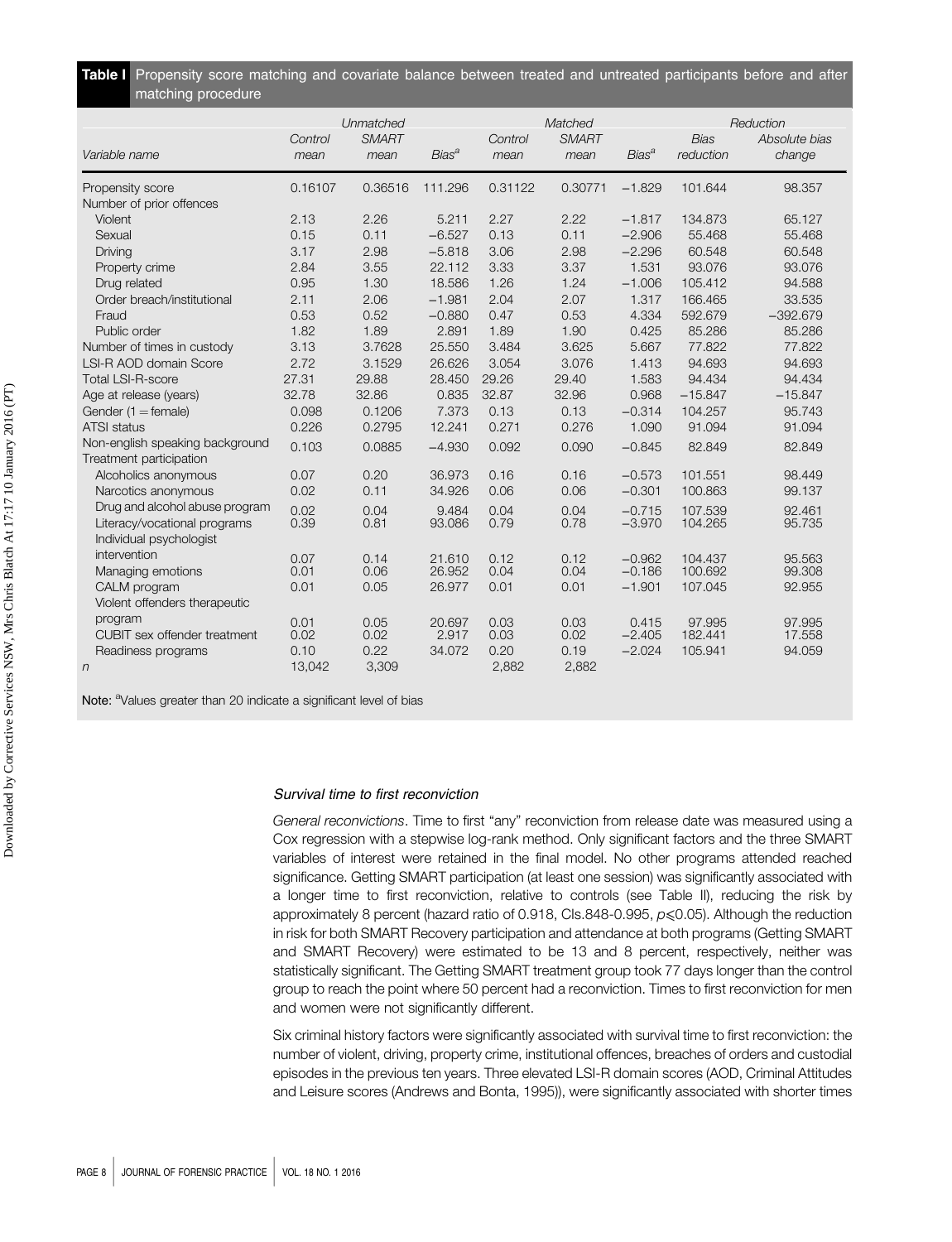| Table I Propensity score matching and covariate balance between treated and untreated participants before and after |  |  |  |  |  |  |
|---------------------------------------------------------------------------------------------------------------------|--|--|--|--|--|--|
| matching procedure                                                                                                  |  |  |  |  |  |  |

|                                 | Control | Unmatched<br><b>SMART</b> |                         | Control | Matched<br><b>SMART</b> |                         | <b>Bias</b> | Reduction<br>Absolute bias |
|---------------------------------|---------|---------------------------|-------------------------|---------|-------------------------|-------------------------|-------------|----------------------------|
| Variable name                   | mean    | mean                      | <b>Bias<sup>a</sup></b> | mean    | mean                    | <b>Bias<sup>a</sup></b> | reduction   | change                     |
| Propensity score                | 0.16107 | 0.36516                   | 111.296                 | 0.31122 | 0.30771                 | $-1.829$                | 101.644     | 98.357                     |
| Number of prior offences        |         |                           |                         |         |                         |                         |             |                            |
| Violent                         | 2.13    | 2.26                      | 5.211                   | 2.27    | 2.22                    | $-1.817$                | 134.873     | 65.127                     |
| Sexual                          | 0.15    | 0.11                      | $-6.527$                | 0.13    | 0.11                    | $-2.906$                | 55.468      | 55.468                     |
| Driving                         | 3.17    | 2.98                      | $-5.818$                | 3.06    | 2.98                    | $-2.296$                | 60.548      | 60.548                     |
| Property crime                  | 2.84    | 3.55                      | 22.112                  | 3.33    | 3.37                    | 1.531                   | 93.076      | 93.076                     |
| Drug related                    | 0.95    | 1.30                      | 18.586                  | 1.26    | 1.24                    | $-1.006$                | 105.412     | 94.588                     |
| Order breach/institutional      | 2.11    | 2.06                      | $-1.981$                | 2.04    | 2.07                    | 1.317                   | 166.465     | 33.535                     |
| Fraud                           | 0.53    | 0.52                      | $-0.880$                | 0.47    | 0.53                    | 4.334                   | 592.679     | $-392.679$                 |
| Public order                    | 1.82    | 1.89                      | 2.891                   | 1.89    | 1.90                    | 0.425                   | 85.286      | 85.286                     |
| Number of times in custody      | 3.13    | 3.7628                    | 25.550                  | 3.484   | 3.625                   | 5.667                   | 77.822      | 77.822                     |
| LSI-R AOD domain Score          | 2.72    | 3.1529                    | 26.626                  | 3.054   | 3.076                   | 1.413                   | 94.693      | 94.693                     |
| <b>Total LSI-R-score</b>        | 27.31   | 29.88                     | 28.450                  | 29.26   | 29.40                   | 1.583                   | 94.434      | 94.434                     |
| Age at release (years)          | 32.78   | 32.86                     | 0.835                   | 32.87   | 32.96                   | 0.968                   | $-15.847$   | $-15.847$                  |
| Gender $(1 =$ female)           | 0.098   | 0.1206                    | 7.373                   | 0.13    | 0.13                    | $-0.314$                | 104.257     | 95.743                     |
| <b>ATSI status</b>              | 0.226   | 0.2795                    | 12.241                  | 0.271   | 0.276                   | 1.090                   | 91.094      | 91.094                     |
| Non-english speaking background | 0.103   | 0.0885                    | $-4.930$                | 0.092   | 0.090                   | $-0.845$                | 82.849      | 82.849                     |
| Treatment participation         |         |                           |                         |         |                         |                         |             |                            |
| Alcoholics anonymous            | 0.07    | 0.20                      | 36.973                  | 0.16    | 0.16                    | $-0.573$                | 101.551     | 98.449                     |
| Narcotics anonymous             | 0.02    | 0.11                      | 34.926                  | 0.06    | 0.06                    | $-0.301$                | 100.863     | 99.137                     |
| Drug and alcohol abuse program  | 0.02    | 0.04                      | 9.484                   | 0.04    | 0.04                    | $-0.715$                | 107.539     | 92.461                     |
| Literacy/vocational programs    | 0.39    | 0.81                      | 93.086                  | 0.79    | 0.78                    | $-3.970$                | 104.265     | 95.735                     |
| Individual psychologist         |         |                           |                         |         |                         |                         |             |                            |
| intervention                    | 0.07    | 0.14                      | 21.610                  | 0.12    | 0.12                    | $-0.962$                | 104.437     | 95.563                     |
| Managing emotions               | 0.01    | 0.06                      | 26.952                  | 0.04    | 0.04                    | $-0.186$                | 100.692     | 99,308                     |
| CALM program                    | 0.01    | 0.05                      | 26.977                  | 0.01    | 0.01                    | $-1.901$                | 107.045     | 92.955                     |
| Violent offenders therapeutic   |         |                           |                         |         |                         |                         |             |                            |
| program                         | 0.01    | 0.05                      | 20.697                  | 0.03    | 0.03                    | 0.415                   | 97.995      | 97.995                     |
| CUBIT sex offender treatment    | 0.02    | 0.02                      | 2.917                   | 0.03    | 0.02                    | $-2.405$                | 182.441     | 17.558                     |
| Readiness programs              | 0.10    | 0.22                      | 34.072                  | 0.20    | 0.19                    | $-2.024$                | 105.941     | 94.059                     |
| $\sqrt{n}$                      | 13,042  | 3,309                     |                         | 2,882   | 2,882                   |                         |             |                            |

Note: <sup>a</sup>Values greater than 20 indicate a significant level of bias

## Survival time to first reconviction

General reconvictions. Time to first "any" reconviction from release date was measured using a Cox regression with a stepwise log-rank method. Only significant factors and the three SMART variables of interest were retained in the final model. No other programs attended reached significance. Getting SMART participation (at least one session) was significantly associated with a longer time to first reconviction, relative to controls (see Table II), reducing the risk by approximately 8 percent (hazard ratio of 0.918, CIs.848-0.995,  $p \le 0.05$ ). Although the reduction in risk for both SMART Recovery participation and attendance at both programs (Getting SMART and SMART Recovery) were estimated to be 13 and 8 percent, respectively, neither was statistically significant. The Getting SMART treatment group took 77 days longer than the control group to reach the point where 50 percent had a reconviction. Times to first reconviction for men and women were not significantly different.

Six criminal history factors were significantly associated with survival time to first reconviction: the number of violent, driving, property crime, institutional offences, breaches of orders and custodial episodes in the previous ten years. Three elevated LSI-R domain scores (AOD, Criminal Attitudes and Leisure scores (Andrews and Bonta, 1995)), were significantly associated with shorter times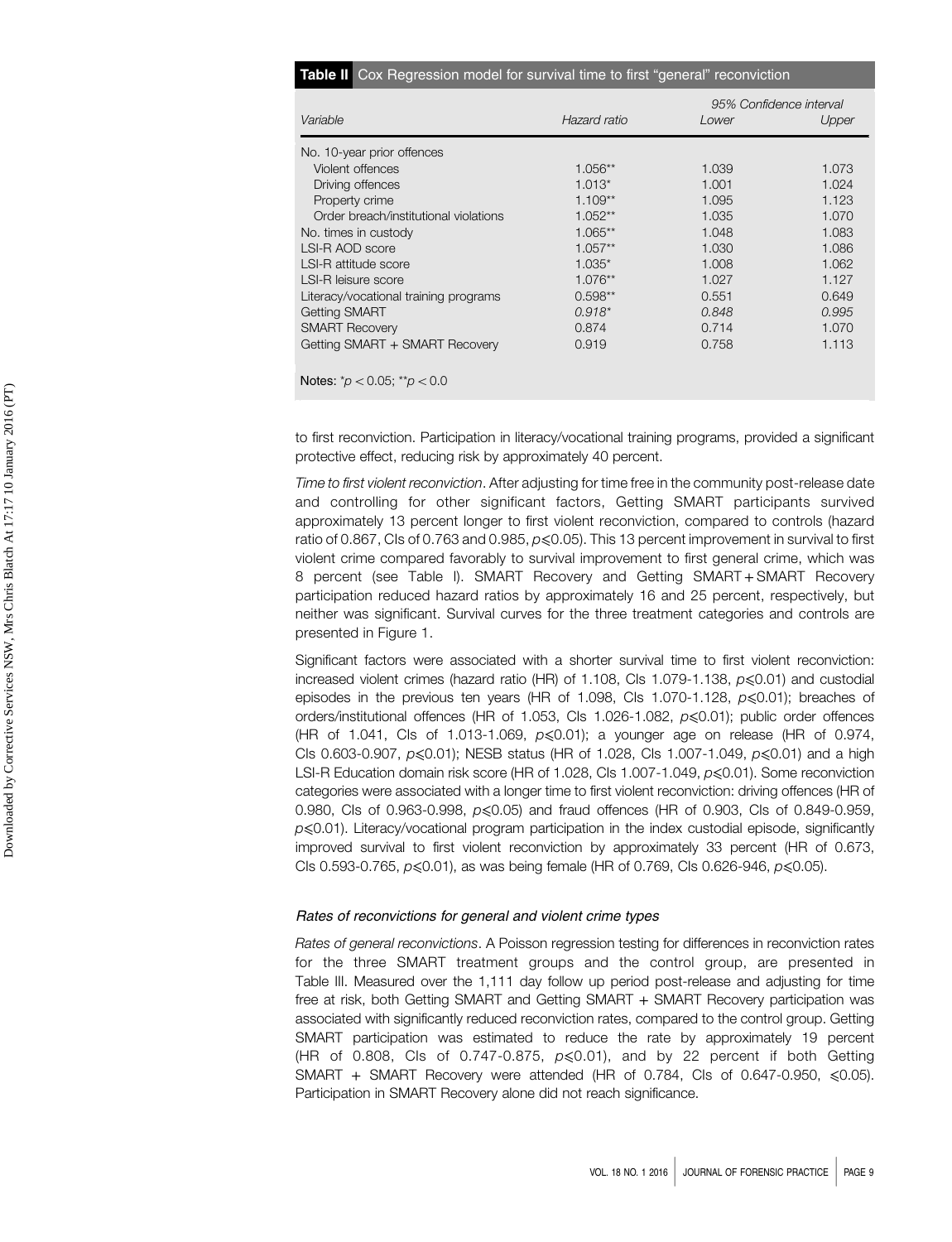| <b>Table II</b> Cox Regression model for survival time to first "general" reconviction |  |  |  |  |  |  |
|----------------------------------------------------------------------------------------|--|--|--|--|--|--|
|----------------------------------------------------------------------------------------|--|--|--|--|--|--|

|                                       |              | 95% Confidence interval |       |  |  |  |  |
|---------------------------------------|--------------|-------------------------|-------|--|--|--|--|
| Variable                              | Hazard ratio | Lower                   | Upper |  |  |  |  |
| No. 10-year prior offences            |              |                         |       |  |  |  |  |
| Violent offences                      | $1.056**$    | 1.039                   | 1.073 |  |  |  |  |
| Driving offences                      | $1.013*$     | 1.001                   | 1.024 |  |  |  |  |
| Property crime                        | $1.109**$    | 1.095                   | 1.123 |  |  |  |  |
| Order breach/institutional violations | $1.052**$    | 1.035                   | 1.070 |  |  |  |  |
| No. times in custody                  | $1.065**$    | 1.048                   | 1.083 |  |  |  |  |
| LSI-R AOD score                       | $1.057**$    | 1.030                   | 1.086 |  |  |  |  |
| LSI-R attitude score                  | $1.035*$     | 1.008                   | 1.062 |  |  |  |  |
| LSI-R leisure score                   | $1.076**$    | 1.027                   | 1.127 |  |  |  |  |
| Literacy/vocational training programs | $0.598**$    | 0.551                   | 0.649 |  |  |  |  |
| <b>Getting SMART</b>                  | $0.918*$     | 0.848                   | 0.995 |  |  |  |  |
| <b>SMART Recovery</b>                 | 0.874        | 0.714                   | 1.070 |  |  |  |  |
| Getting SMART + SMART Recovery        | 0.919        | 0.758                   | 1.113 |  |  |  |  |
|                                       |              |                         |       |  |  |  |  |
| Notes: $p' < 0.05$ ; $p' > 0.0$       |              |                         |       |  |  |  |  |

to first reconviction. Participation in literacy/vocational training programs, provided a significant protective effect, reducing risk by approximately 40 percent.

Time to first violent reconviction. After adjusting for time free in the community post-release date and controlling for other significant factors, Getting SMART participants survived approximately 13 percent longer to first violent reconviction, compared to controls (hazard ratio of 0.867, CIs of 0.763 and 0.985,  $p \le 0.05$ ). This 13 percent improvement in survival to first violent crime compared favorably to survival improvement to first general crime, which was 8 percent (see Table I). SMART Recovery and Getting SMART + SMART Recovery participation reduced hazard ratios by approximately 16 and 25 percent, respectively, but neither was significant. Survival curves for the three treatment categories and controls are presented in Figure 1.

Significant factors were associated with a shorter survival time to first violent reconviction: increased violent crimes (hazard ratio (HR) of 1.108, CIs 1.079-1.138,  $p \le 0.01$ ) and custodial episodes in the previous ten years (HR of 1.098, CIs 1.070-1.128,  $p \le 0.01$ ); breaches of orders/institutional offences (HR of 1.053, CIs 1.026-1.082, p⩽0.01); public order offences (HR of 1.041, CIs of 1.013-1.069,  $p \le 0.01$ ); a younger age on release (HR of 0.974, CIs 0.603-0.907,  $p \le 0.01$ ; NESB status (HR of 1.028, CIs 1.007-1.049,  $p \le 0.01$ ) and a high LSI-R Education domain risk score (HR of 1.028, CIs 1.007-1.049, p≤0.01). Some reconviction categories were associated with a longer time to first violent reconviction: driving offences (HR of 0.980, CIs of 0.963-0.998, p ≤ 0.05) and fraud offences (HR of 0.903, CIs of 0.849-0.959,  $p \le 0.01$ ). Literacy/vocational program participation in the index custodial episode, significantly improved survival to first violent reconviction by approximately 33 percent (HR of 0.673, CIs 0.593-0.765,  $p \le 0.01$ , as was being female (HR of 0.769, CIs 0.626-946,  $p \le 0.05$ ).

#### Rates of reconvictions for general and violent crime types

Rates of general reconvictions. A Poisson regression testing for differences in reconviction rates for the three SMART treatment groups and the control group, are presented in Table III. Measured over the 1,111 day follow up period post-release and adjusting for time free at risk, both Getting SMART and Getting SMART + SMART Recovery participation was associated with significantly reduced reconviction rates, compared to the control group. Getting SMART participation was estimated to reduce the rate by approximately 19 percent (HR of 0.808, CIs of 0.747-0.875,  $p \le 0.01$ ), and by 22 percent if both Getting SMART + SMART Recovery were attended (HR of 0.784, CIs of 0.647-0.950,  $\leq 0.05$ ). Participation in SMART Recovery alone did not reach significance.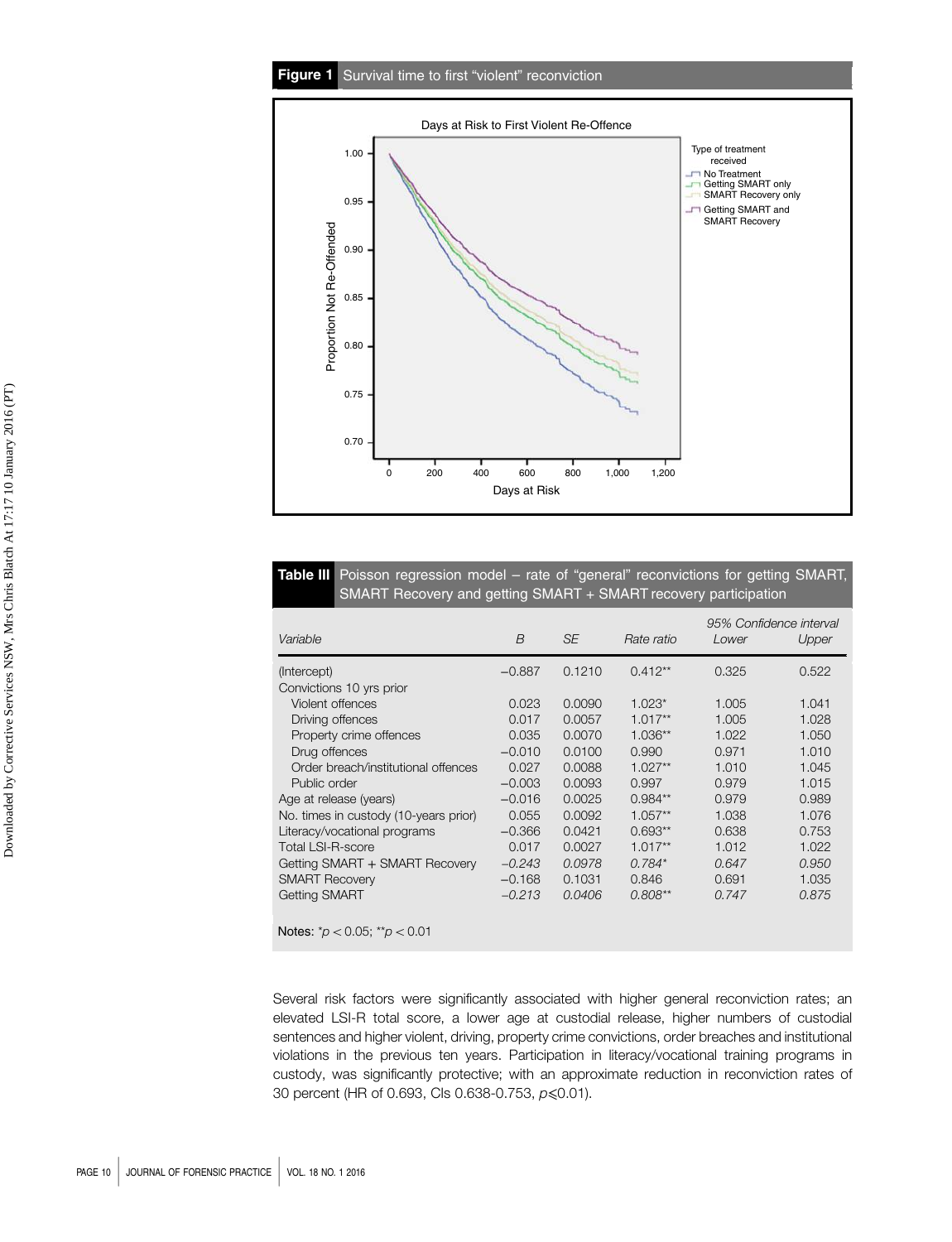## Figure 1 Survival time to first "violent" reconviction



# Table III Poisson regression model - rate of "general" reconvictions for getting SMART, SMART Recovery and getting SMART + SMART recovery participation

| Variable                              | B        | <b>SE</b> | Rate ratio | Lower | 95% Confidence interval<br>Upper |
|---------------------------------------|----------|-----------|------------|-------|----------------------------------|
| (Intercept)                           | $-0.887$ | 0.1210    | $0.412**$  | 0.325 | 0.522                            |
| Convictions 10 yrs prior              |          |           |            |       |                                  |
| Violent offences                      | 0.023    | 0.0090    | $1.023*$   | 1.005 | 1.041                            |
| Driving offences                      | 0.017    | 0.0057    | $1.017**$  | 1.005 | 1.028                            |
| Property crime offences               | 0.035    | 0.0070    | $1.036**$  | 1.022 | 1.050                            |
| Drug offences                         | $-0.010$ | 0.0100    | 0.990      | 0.971 | 1.010                            |
| Order breach/institutional offences   | 0.027    | 0.0088    | $1.027**$  | 1.010 | 1.045                            |
| Public order                          | $-0.003$ | 0.0093    | 0.997      | 0.979 | 1.015                            |
| Age at release (years)                | $-0.016$ | 0.0025    | $0.984**$  | 0.979 | 0.989                            |
| No. times in custody (10-years prior) | 0.055    | 0.0092    | $1.057**$  | 1.038 | 1.076                            |
| Literacy/vocational programs          | $-0.366$ | 0.0421    | $0.693**$  | 0.638 | 0.753                            |
| <b>Total LSI-R-score</b>              | 0.017    | 0.0027    | $1.017**$  | 1.012 | 1.022                            |
| Getting SMART + SMART Recovery        | $-0.243$ | 0.0978    | $0.784*$   | 0.647 | 0.950                            |
| <b>SMART Recovery</b>                 | $-0.168$ | 0.1031    | 0.846      | 0.691 | 1.035                            |
| <b>Getting SMART</b>                  | $-0.213$ | 0.0406    | $0.808**$  | 0.747 | 0.875                            |
| Notes: $p' < 0.05$ ; $p' > 0.01$      |          |           |            |       |                                  |

Several risk factors were significantly associated with higher general reconviction rates; an elevated LSI-R total score, a lower age at custodial release, higher numbers of custodial sentences and higher violent, driving, property crime convictions, order breaches and institutional violations in the previous ten years. Participation in literacy/vocational training programs in custody, was significantly protective; with an approximate reduction in reconviction rates of 30 percent (HR of 0.693, CIs 0.638-0.753, p ≤ 0.01).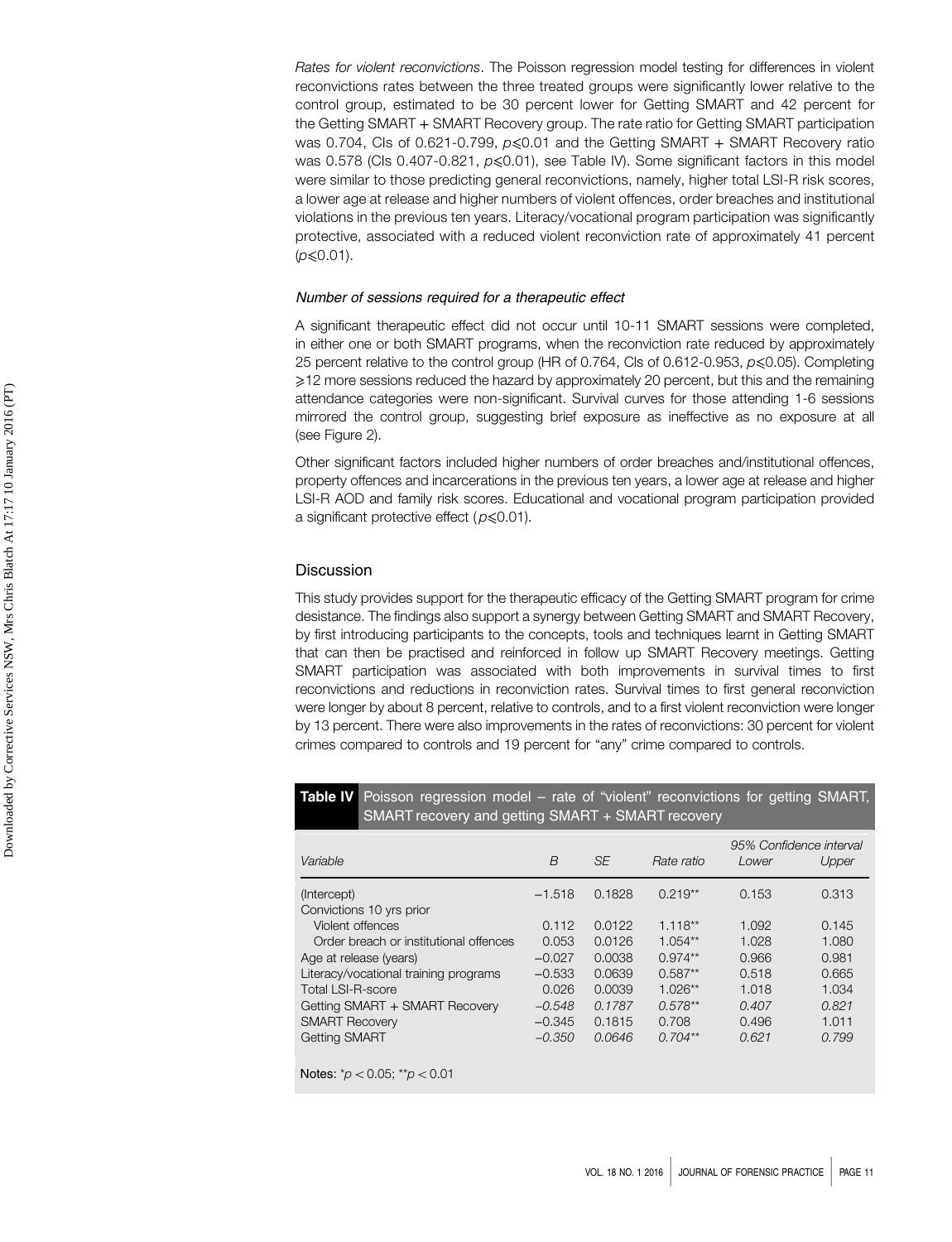Rates for violent reconvictions. The Poisson regression model testing for differences in violent reconvictions rates between the three treated groups were significantly lower relative to the control group, estimated to be 30 percent lower for Getting SMART and 42 percent for the Getting SMART + SMART Recovery group. The rate ratio for Getting SMART participation was 0.704, CIs of 0.621-0.799,  $p \le 0.01$  and the Getting SMART + SMART Recovery ratio was 0.578 (CIs 0.407-0.821,  $p \le 0.01$ ), see Table IV). Some significant factors in this model were similar to those predicting general reconvictions, namely, higher total LSI-R risk scores, a lower age at release and higher numbers of violent offences, order breaches and institutional violations in the previous ten years. Literacy/vocational program participation was significantly protective, associated with a reduced violent reconviction rate of approximately 41 percent  $(p \le 0.01)$ .

#### Number of sessions required for a therapeutic effect

A significant therapeutic effect did not occur until 10-11 SMART sessions were completed, in either one or both SMART programs, when the reconviction rate reduced by approximately 25 percent relative to the control group (HR of 0.764, Cls of 0.612-0.953, p ≤0.05). Completing ⩾12 more sessions reduced the hazard by approximately 20 percent, but this and the remaining attendance categories were non-significant. Survival curves for those attending 1-6 sessions mirrored the control group, suggesting brief exposure as ineffective as no exposure at all (see Figure 2).

Other significant factors included higher numbers of order breaches and/institutional offences, property offences and incarcerations in the previous ten years, a lower age at release and higher LSI-R AOD and family risk scores. Educational and vocational program participation provided a significant protective effect ( $p \le 0.01$ ).

# **Discussion**

This study provides support for the therapeutic efficacy of the Getting SMART program for crime desistance. The findings also support a synergy between Getting SMART and SMART Recovery, by first introducing participants to the concepts, tools and techniques learnt in Getting SMART that can then be practised and reinforced in follow up SMART Recovery meetings. Getting SMART participation was associated with both improvements in survival times to first reconvictions and reductions in reconviction rates. Survival times to first general reconviction were longer by about 8 percent, relative to controls, and to a first violent reconviction were longer by 13 percent. There were also improvements in the rates of reconvictions: 30 percent for violent crimes compared to controls and 19 percent for "any" crime compared to controls.

Table IV Poisson regression model – rate of "violent" reconvictions for getting SMART, SMART recovery and getting SMART + SMART recovery

| Variable                               | B        | <b>SE</b> | Rate ratio | Lower | 95% Confidence interval<br>Upper |
|----------------------------------------|----------|-----------|------------|-------|----------------------------------|
| (Intercept)                            | $-1.518$ | 0.1828    | $0.219**$  | 0.153 | 0.313                            |
| Convictions 10 yrs prior               |          |           |            |       |                                  |
| Violent offences                       | 0.112    | 0.0122    | $1.118**$  | 1.092 | 0.145                            |
| Order breach or institutional offences | 0.053    | 0.0126    | $1.054**$  | 1.028 | 1.080                            |
| Age at release (years)                 | $-0.027$ | 0.0038    | $0.974**$  | 0.966 | 0.981                            |
| Literacy/vocational training programs  | $-0.533$ | 0.0639    | $0.587**$  | 0.518 | 0.665                            |
| Total LSI-R-score                      | 0.026    | 0.0039    | $1.026**$  | 1.018 | 1.034                            |
| Getting SMART + SMART Recovery         | $-0.548$ | 0.1787    | $0.578**$  | 0.407 | 0.821                            |
| <b>SMART Recovery</b>                  | $-0.345$ | 0.1815    | 0.708      | 0.496 | 1.011                            |
| <b>Getting SMART</b>                   | $-0.350$ | 0.0646    | $0.704**$  | 0.621 | 0.799                            |
| Notes: $p' < 0.05$ ; $p' > 0.01$       |          |           |            |       |                                  |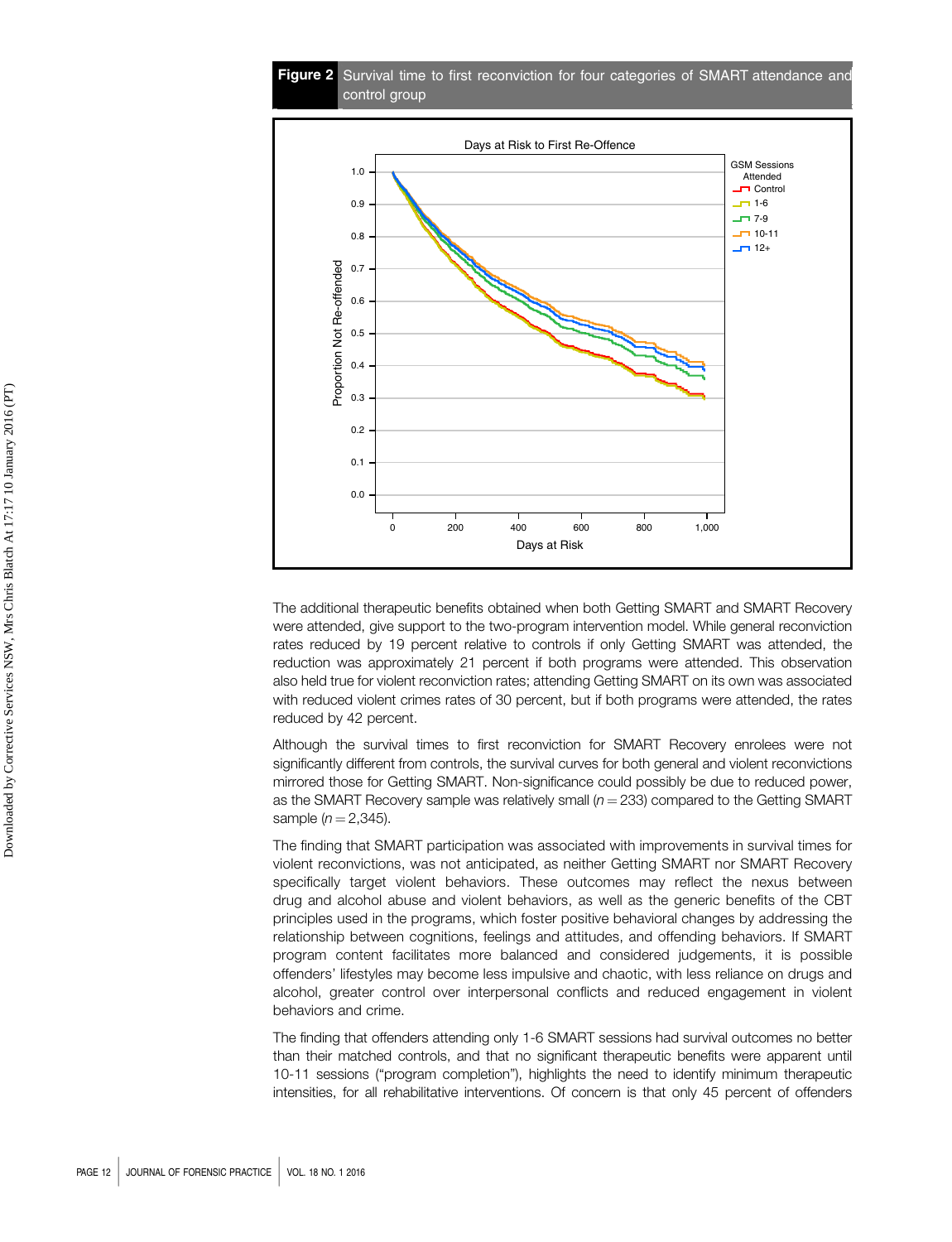Figure 2 Survival time to first reconviction for four categories of SMART attendance and control group



The additional therapeutic benefits obtained when both Getting SMART and SMART Recovery were attended, give support to the two-program intervention model. While general reconviction rates reduced by 19 percent relative to controls if only Getting SMART was attended, the reduction was approximately 21 percent if both programs were attended. This observation also held true for violent reconviction rates; attending Getting SMART on its own was associated with reduced violent crimes rates of 30 percent, but if both programs were attended, the rates reduced by 42 percent.

Although the survival times to first reconviction for SMART Recovery enrolees were not significantly different from controls, the survival curves for both general and violent reconvictions mirrored those for Getting SMART. Non-significance could possibly be due to reduced power, as the SMART Recovery sample was relatively small  $(n = 233)$  compared to the Getting SMART sample  $(n = 2,345)$ .

The finding that SMART participation was associated with improvements in survival times for violent reconvictions, was not anticipated, as neither Getting SMART nor SMART Recovery specifically target violent behaviors. These outcomes may reflect the nexus between drug and alcohol abuse and violent behaviors, as well as the generic benefits of the CBT principles used in the programs, which foster positive behavioral changes by addressing the relationship between cognitions, feelings and attitudes, and offending behaviors. If SMART program content facilitates more balanced and considered judgements, it is possible offenders' lifestyles may become less impulsive and chaotic, with less reliance on drugs and alcohol, greater control over interpersonal conflicts and reduced engagement in violent behaviors and crime.

The finding that offenders attending only 1-6 SMART sessions had survival outcomes no better than their matched controls, and that no significant therapeutic benefits were apparent until 10-11 sessions ("program completion"), highlights the need to identify minimum therapeutic intensities, for all rehabilitative interventions. Of concern is that only 45 percent of offenders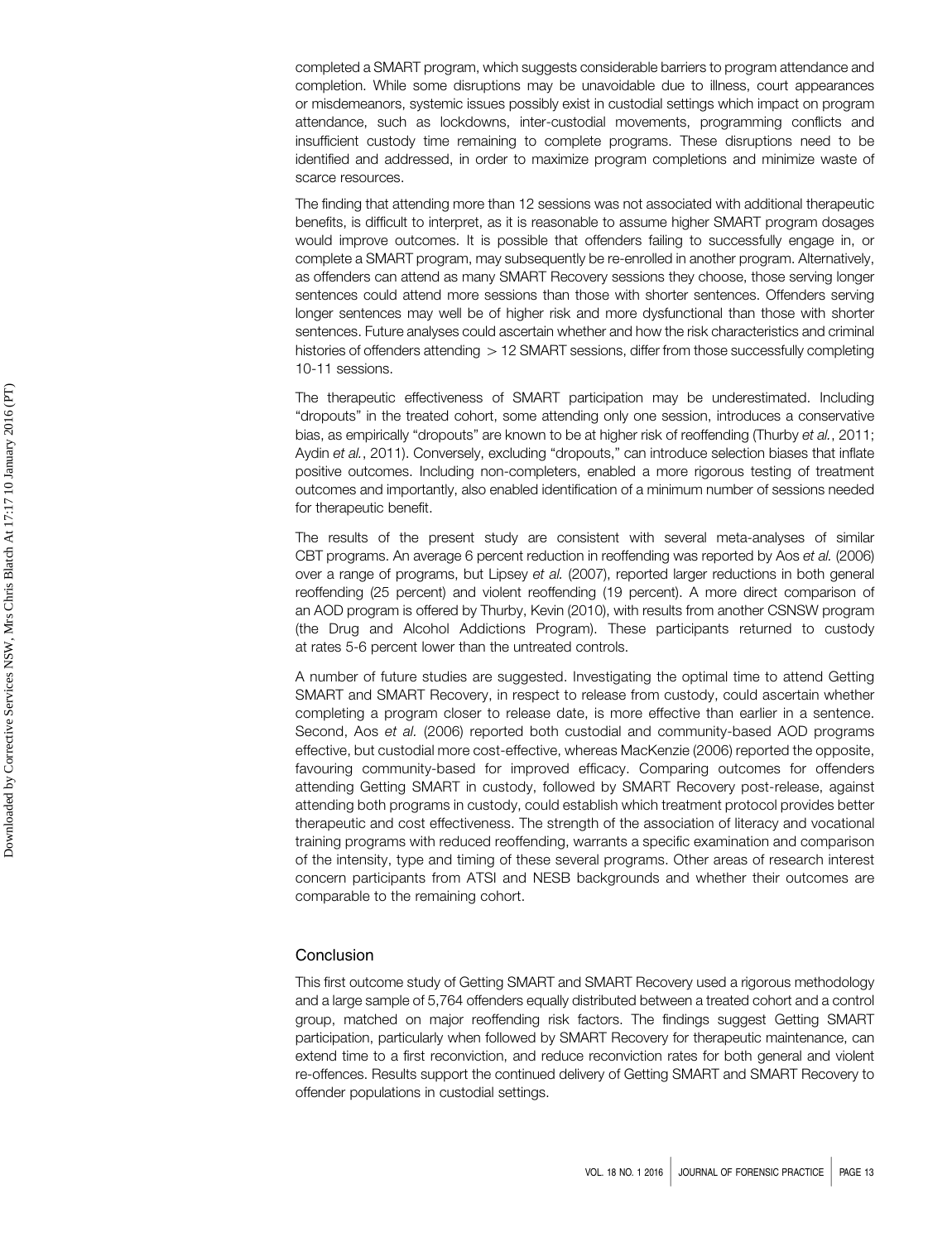completed a SMART program, which suggests considerable barriers to program attendance and completion. While some disruptions may be unavoidable due to illness, court appearances or misdemeanors, systemic issues possibly exist in custodial settings which impact on program attendance, such as lockdowns, inter-custodial movements, programming conflicts and insufficient custody time remaining to complete programs. These disruptions need to be identified and addressed, in order to maximize program completions and minimize waste of scarce resources.

The finding that attending more than 12 sessions was not associated with additional therapeutic benefits, is difficult to interpret, as it is reasonable to assume higher SMART program dosages would improve outcomes. It is possible that offenders failing to successfully engage in, or complete a SMART program, may subsequently be re-enrolled in another program. Alternatively, as offenders can attend as many SMART Recovery sessions they choose, those serving longer sentences could attend more sessions than those with shorter sentences. Offenders serving longer sentences may well be of higher risk and more dysfunctional than those with shorter sentences. Future analyses could ascertain whether and how the risk characteristics and criminal histories of offenders attending  $> 12$  SMART sessions, differ from those successfully completing 10-11 sessions.

The therapeutic effectiveness of SMART participation may be underestimated. Including "dropouts" in the treated cohort, some attending only one session, introduces a conservative bias, as empirically "dropouts" are known to be at higher risk of reoffending (Thurby et al., 2011; Aydin et al., 2011). Conversely, excluding "dropouts," can introduce selection biases that inflate positive outcomes. Including non-completers, enabled a more rigorous testing of treatment outcomes and importantly, also enabled identification of a minimum number of sessions needed for therapeutic benefit.

The results of the present study are consistent with several meta-analyses of similar CBT programs. An average 6 percent reduction in reoffending was reported by Aos et al. (2006) over a range of programs, but Lipsey et al. (2007), reported larger reductions in both general reoffending (25 percent) and violent reoffending (19 percent). A more direct comparison of an AOD program is offered by Thurby, Kevin (2010), with results from another CSNSW program (the Drug and Alcohol Addictions Program). These participants returned to custody at rates 5-6 percent lower than the untreated controls.

A number of future studies are suggested. Investigating the optimal time to attend Getting SMART and SMART Recovery, in respect to release from custody, could ascertain whether completing a program closer to release date, is more effective than earlier in a sentence. Second, Aos et al. (2006) reported both custodial and community-based AOD programs effective, but custodial more cost-effective, whereas MacKenzie (2006) reported the opposite, favouring community-based for improved efficacy. Comparing outcomes for offenders attending Getting SMART in custody, followed by SMART Recovery post-release, against attending both programs in custody, could establish which treatment protocol provides better therapeutic and cost effectiveness. The strength of the association of literacy and vocational training programs with reduced reoffending, warrants a specific examination and comparison of the intensity, type and timing of these several programs. Other areas of research interest concern participants from ATSI and NESB backgrounds and whether their outcomes are comparable to the remaining cohort.

# **Conclusion**

This first outcome study of Getting SMART and SMART Recovery used a rigorous methodology and a large sample of 5,764 offenders equally distributed between a treated cohort and a control group, matched on major reoffending risk factors. The findings suggest Getting SMART participation, particularly when followed by SMART Recovery for therapeutic maintenance, can extend time to a first reconviction, and reduce reconviction rates for both general and violent re-offences. Results support the continued delivery of Getting SMART and SMART Recovery to offender populations in custodial settings.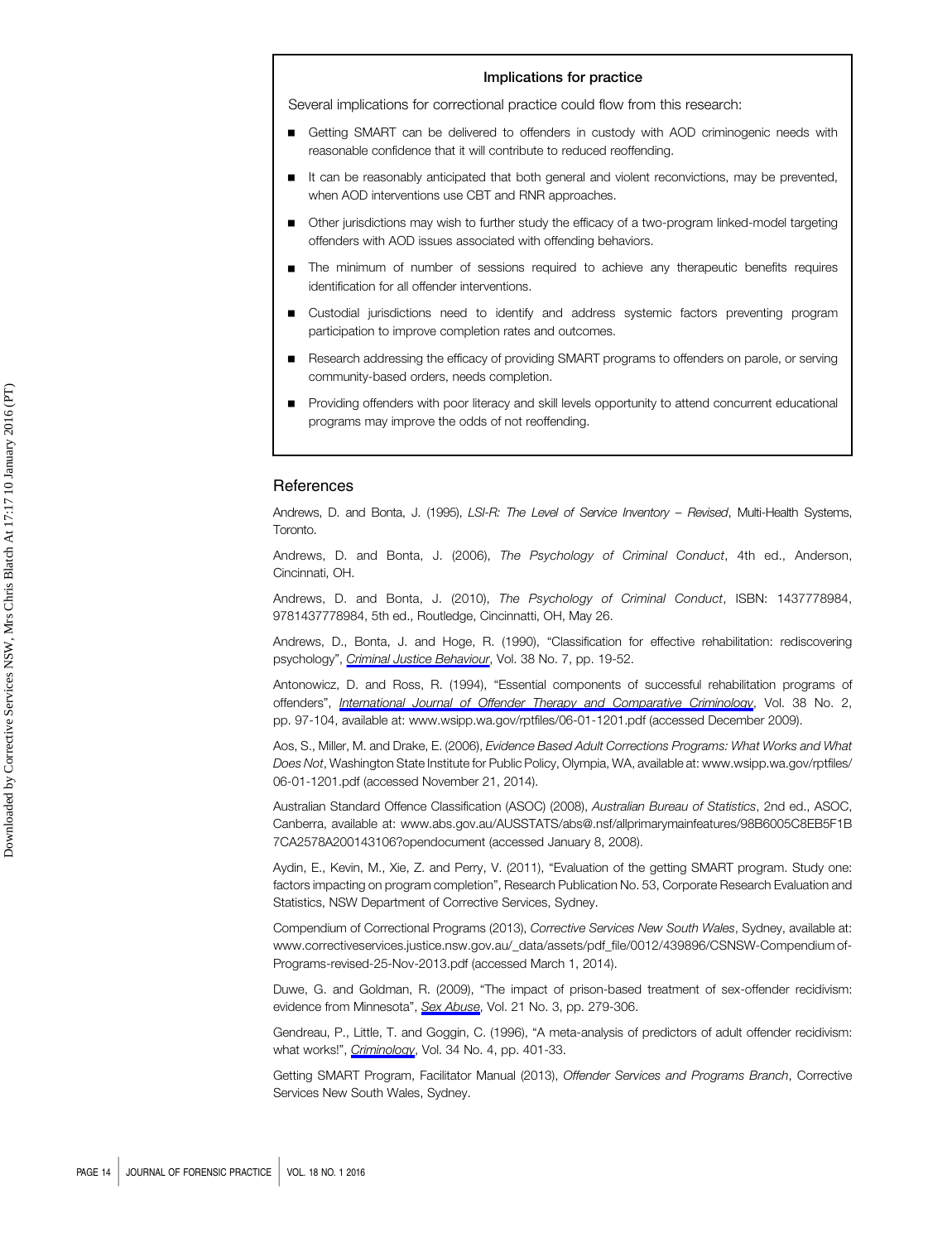#### Implications for practice

Several implications for correctional practice could flow from this research:

- Getting SMART can be delivered to offenders in custody with AOD criminogenic needs with reasonable confidence that it will contribute to reduced reoffending.
- It can be reasonably anticipated that both general and violent reconvictions, may be prevented, when AOD interventions use CBT and RNR approaches.
- Other jurisdictions may wish to further study the efficacy of a two-program linked-model targeting offenders with AOD issues associated with offending behaviors.
- The minimum of number of sessions required to achieve any therapeutic benefits requires identification for all offender interventions.
- Custodial jurisdictions need to identify and address systemic factors preventing program participation to improve completion rates and outcomes.
- Research addressing the efficacy of providing SMART programs to offenders on parole, or serving community-based orders, needs completion.
- Providing offenders with poor literacy and skill levels opportunity to attend concurrent educational programs may improve the odds of not reoffending.

# **References**

Andrews, D. and Bonta, J. (1995), LSI-R: The Level of Service Inventory - Revised, Multi-Health Systems, Toronto.

Andrews, D. and Bonta, J. (2006), The Psychology of Criminal Conduct, 4th ed., Anderson, Cincinnati, OH.

Andrews, D. and Bonta, J. (2010), The Psychology of Criminal Conduct, ISBN: 1437778984, 9781437778984, 5th ed., Routledge, Cincinnatti, OH, May 26.

Andrews, D., Bonta, J. and Hoge, R. (1990), "Classification for effective rehabilitation: rediscovering psychology", [Criminal Justice Behaviour](http://www.emeraldinsight.com/action/showLinks?crossref=10.1177%2F0093854890017001004), Vol. 38 No. 7, pp. 19-52.

Antonowicz, D. and Ross, R. (1994), "Essential components of successful rehabilitation programs of offenders", [International Journal of Offender Therapy and Comparative Criminology](http://www.emeraldinsight.com/action/showLinks?crossref=10.1177%2F0306624X9403800202&isi=A1994NQ57500002), Vol. 38 No. 2, pp. 97-104, available at:<www.wsipp.wa.gov/rptfiles/06-01-1201.pdf> (accessed December 2009).

Aos, S., Miller, M. and Drake, E. (2006), Evidence Based Adult Corrections Programs: What Works and What Does Not, Washington State Institute for Public Policy, Olympia, WA, available at: [www.wsipp.wa.gov/rptfiles/](www.wsipp.wa.gov/rptfiles/06-01-1201.pdf) [06-01-1201.pdf](www.wsipp.wa.gov/rptfiles/06-01-1201.pdf) (accessed November 21, 2014).

Australian Standard Offence Classification (ASOC) (2008), Australian Bureau of Statistics, 2nd ed., ASOC, Canberra, available at: [www.abs.gov.au/AUSSTATS/abs@.nsf/allprimarymainfeatures/98B6005C8EB5F1B](www.abs.gov.au/AUSSTATS/abs@.nsf/allprimarymainfeatures/98B6005C8EB5F1B7CA2578A200143106?opendocument) [7CA2578A200143106?opendocument](www.abs.gov.au/AUSSTATS/abs@.nsf/allprimarymainfeatures/98B6005C8EB5F1B7CA2578A200143106?opendocument) (accessed January 8, 2008).

Aydin, E., Kevin, M., Xie, Z. and Perry, V. (2011), "Evaluation of the getting SMART program. Study one: factors impacting on program completion", Research Publication No. 53, Corporate Research Evaluation and Statistics, NSW Department of Corrective Services, Sydney.

Compendium of Correctional Programs (2013), Corrective Services New South Wales, Sydney, available at: [www.correctiveservices.justice.nsw.gov.au/\\_data/assets/pdf\\_file/0012/439896/CSNSW-Compendium](www.correctiveservices.justice.nsw.gov.au/_data/assets/pdf_file/0012/439896/CSNSW-Compendium) of-Programs-revised-25-Nov-2013.pdf (accessed March 1, 2014).

Duwe, G. and Goldman, R. (2009), "The impact of prison-based treatment of sex-offender recidivism: evidence from Minnesota", [Sex Abuse](http://www.emeraldinsight.com/action/showLinks?isi=000268887100003), Vol. 21 No. 3, pp. 279-306.

Gendreau, P., Little, T. and Goggin, C. (1996), "A meta-analysis of predictors of adult offender recidivism: what works!", *[Criminology](http://www.emeraldinsight.com/action/showLinks?crossref=10.1111%2Fj.1745-9125.1996.tb01220.x)*, Vol. 34 No. 4, pp. 401-33.

Getting SMART Program, Facilitator Manual (2013), Offender Services and Programs Branch, Corrective Services New South Wales, Sydney.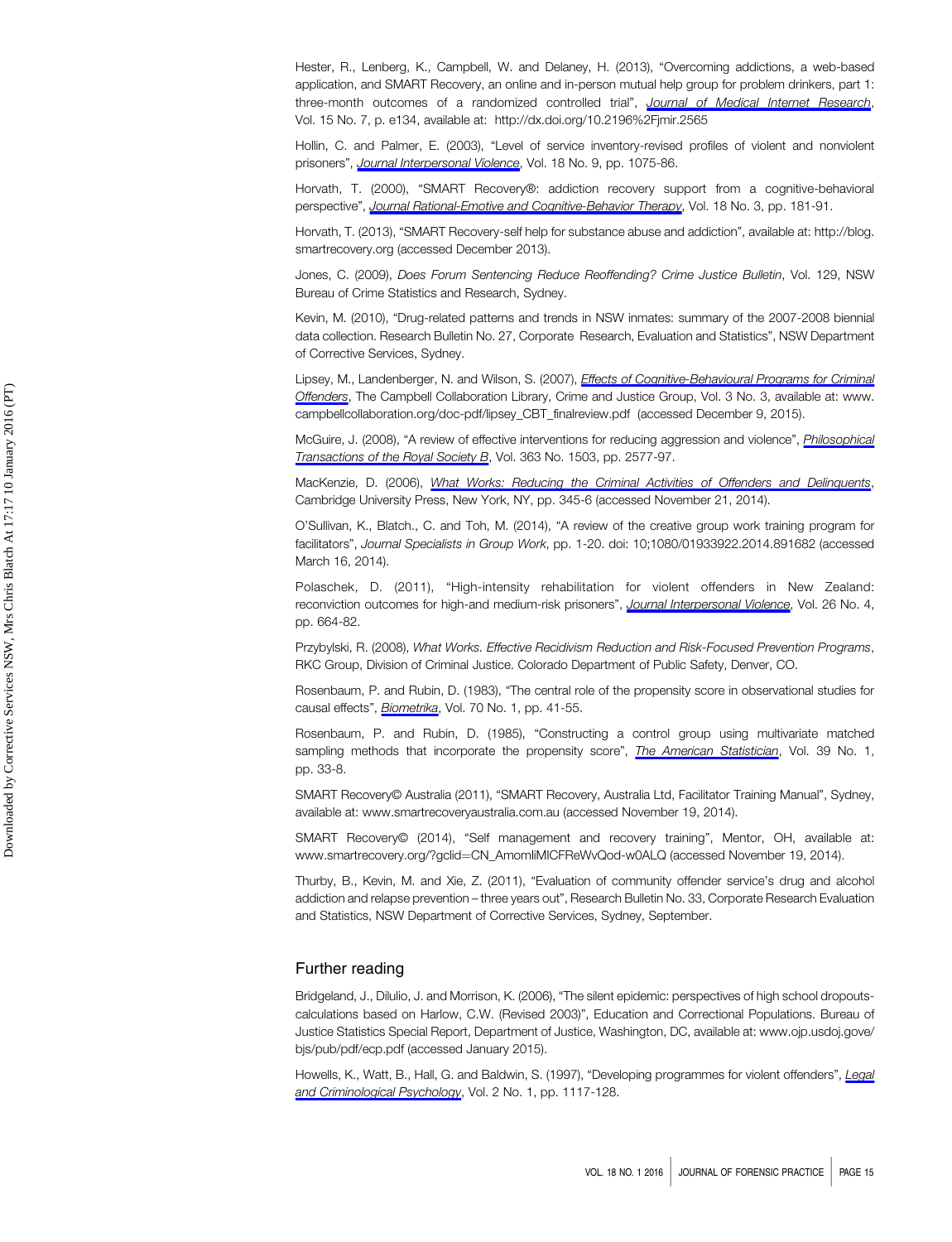Hester, R., Lenberg, K., Campbell, W. and Delaney, H. (2013), "Overcoming addictions, a web-based application, and SMART Recovery, an online and in-person mutual help group for problem drinkers, part 1: three-month outcomes of a randomized controlled trial", [Journal of Medical Internet Research](http://www.emeraldinsight.com/action/showLinks?crossref=10.2196%2Fjmir.2565&isi=000324620300005), Vol. 15 No. 7, p. e134, available at:<http://dx.doi.org/10.2196%2Fjmir.2565>

Hollin, C. and Palmer, E. (2003), "Level of service inventory-revised profiles of violent and nonviolent prisoners", [Journal Interpersonal Violence](http://www.emeraldinsight.com/action/showLinks?crossref=10.1177%2F0886260503254514&isi=000184738300007), Vol. 18 No. 9, pp. 1075-86.

Horvath, T. (2000), "SMART Recovery®: addiction recovery support from a cognitive-behavioral perspective", [Journal Rational-Emotive and Cognitive-Behavior Therapy](http://www.emeraldinsight.com/action/showLinks?crossref=10.1023%2FA%3A1007831005098), Vol. 18 No. 3, pp. 181-91.

Horvath, T. (2013), "SMART Recovery-self help for substance abuse and addiction", available at: [http://blog.](http://blog.smartrecovery.org) [smartrecovery.org](http://blog.smartrecovery.org) (accessed December 2013).

Jones, C. (2009), Does Forum Sentencing Reduce Reoffending? Crime Justice Bulletin, Vol. 129, NSW Bureau of Crime Statistics and Research, Sydney.

Kevin, M. (2010), "Drug-related patterns and trends in NSW inmates: summary of the 2007-2008 biennial data collection. Research Bulletin No. 27, Corporate Research, Evaluation and Statistics", NSW Department of Corrective Services, Sydney.

Lipsey, M., Landenberger, N. and Wilson, S. (2007), *[Effects of Cognitive-Behavioural Programs for Criminal](http://www.emeraldinsight.com/action/showLinks?crossref=10.4073%2Fcsr.2007.6)* [Offenders](http://www.emeraldinsight.com/action/showLinks?crossref=10.4073%2Fcsr.2007.6), The Campbell Collaboration Library, Crime and Justice Group, Vol. 3 No. 3, available at: www. campbellcollaboration.org/doc-pdf/lipsey\_CBT\_finalreview.pdf (accessed December 9, 2015).

McGuire, J. (2008), "A review of effective interventions for reducing aggression and violence", *[Philosophical](http://www.emeraldinsight.com/action/showLinks?crossref=10.1098%2Frstb.2008.0035)* [Transactions of the Royal Society B](http://www.emeraldinsight.com/action/showLinks?crossref=10.1098%2Frstb.2008.0035), Vol. 363 No. 1503, pp. 2577-97.

MacKenzie, D. (2006), [What Works: Reducing the Criminal Activities of Offenders and Delinquents](http://www.emeraldinsight.com/action/showLinks?crossref=10.1017%2FCBO9780511499470), Cambridge University Press, New York, NY, pp. 345-6 (accessed November 21, 2014).

O'Sullivan, K., Blatch., C. and Toh, M. (2014), "A review of the creative group work training program for facilitators", Journal Specialists in Group Work, pp. 1-20. doi: 10;1080/01933922.2014.891682 (accessed March 16, 2014).

Polaschek, D. (2011), "High-intensity rehabilitation for violent offenders in New Zealand: reconviction outcomes for high-and medium-risk prisoners", [Journal Interpersonal Violence](http://www.emeraldinsight.com/action/showLinks?crossref=10.1177%2F0886260510365854&isi=000287842300003), Vol. 26 No. 4, pp. 664-82.

Przybylski, R. (2008), What Works. Effective Recidivism Reduction and Risk-Focused Prevention Programs, RKC Group, Division of Criminal Justice. Colorado Department of Public Safety, Denver, CO.

Rosenbaum, P. and Rubin, D. (1983), "The central role of the propensity score in observational studies for causal effects", [Biometrika](http://www.emeraldinsight.com/action/showLinks?crossref=10.1093%2Fbiomet%2F70.1.41&isi=A1983QH66900005), Vol. 70 No. 1, pp. 41-55.

Rosenbaum, P. and Rubin, D. (1985), "Constructing a control group using multivariate matched sampling methods that incorporate the propensity score", *[The American Statistician](http://www.emeraldinsight.com/action/showLinks?isi=A1985ABK0900009)*, Vol. 39 No. 1, pp. 33-8.

SMART Recovery© Australia (2011), "SMART Recovery, Australia Ltd, Facilitator Training Manual", Sydney, available at:<www.smartrecoveryaustralia.com.au> (accessed November 19, 2014).

SMART Recovery© (2014), "Self management and recovery training", Mentor, OH, available at: [www.smartrecovery.org/?gclid](www.smartrecovery.org/?gclid�=�CN_AmomIiMICFReWvQod-w0ALQ)=[CN\\_AmomIiMICFReWvQod-w0ALQ](www.smartrecovery.org/?gclid�=�CN_AmomIiMICFReWvQod-w0ALQ) (accessed November 19, 2014).

Thurby, B., Kevin, M. and Xie, Z. (2011), "Evaluation of community offender service's drug and alcohol addiction and relapse prevention – three years out", Research Bulletin No. 33, Corporate Research Evaluation and Statistics, NSW Department of Corrective Services, Sydney, September.

# Further reading

Bridgeland, J., Dilulio, J. and Morrison, K. (2006), "The silent epidemic: perspectives of high school dropoutscalculations based on Harlow, C.W. (Revised 2003)", Education and Correctional Populations. Bureau of Justice Statistics Special Report, Department of Justice, Washington, DC, available at: [www.ojp.usdoj.gove/](www.ojp.usdoj.gove/bjs/pub/pdf/ecp.pdf) [bjs/pub/pdf/ecp.pdf](www.ojp.usdoj.gove/bjs/pub/pdf/ecp.pdf) (accessed January 2015).

Howells, K., Watt, B., Hall, G. and Baldwin, S. (1997), "Developing programmes for violent offenders", [Legal](http://www.emeraldinsight.com/action/showLinks?crossref=10.1111%2Fj.2044-8333.1997.tb00337.x) [and Criminological Psychology](http://www.emeraldinsight.com/action/showLinks?crossref=10.1111%2Fj.2044-8333.1997.tb00337.x), Vol. 2 No. 1, pp. 1117-128.